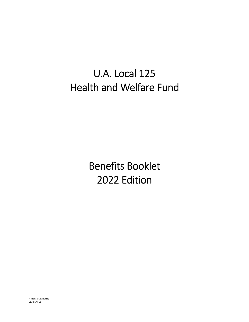# U.A. Local 125 Health and Welfare Fund

Benefits Booklet 2022 Edition

44880504.1(source) 47302994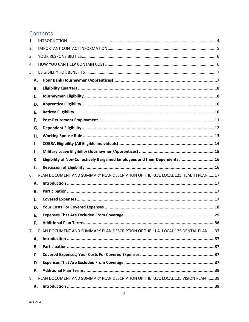# Contents

| 1. |    |                                                                                  |
|----|----|----------------------------------------------------------------------------------|
| 2. |    |                                                                                  |
| 3. |    |                                                                                  |
| 4. |    |                                                                                  |
| 5. |    |                                                                                  |
|    | А. |                                                                                  |
|    | В. |                                                                                  |
|    | C. |                                                                                  |
|    | D. |                                                                                  |
|    | Е. |                                                                                  |
|    | F. |                                                                                  |
|    | G. |                                                                                  |
|    | Η. |                                                                                  |
|    | ı. |                                                                                  |
|    | J. |                                                                                  |
|    | К. | Eligibility of Non-Collectively Bargained Employees and their Dependents 16      |
|    | L. |                                                                                  |
| 6. |    | PLAN DOCUMENT AND SUMMARY PLAN DESCRIPTION OF THE U.A. LOCAL 125 HEALTH PLAN 17  |
|    | А. |                                                                                  |
|    | В. |                                                                                  |
|    | C. |                                                                                  |
|    | D. |                                                                                  |
|    | Е. |                                                                                  |
|    | F. |                                                                                  |
| 7. |    | PLAN DOCUMENT AND SUMMARY PLAN DESCRIPTION OF THE U.A. LOCAL 125 DENTAL PLAN  37 |
|    | А. |                                                                                  |
|    | В. |                                                                                  |
|    | C. |                                                                                  |
|    | D. |                                                                                  |
|    | Е. |                                                                                  |
| 8. |    | PLAN DOCUMENT AND SUMMARY PLAN DESCRIPTION OF THE U.A. LOCAL 125 VISION PLAN  39 |
|    | А. |                                                                                  |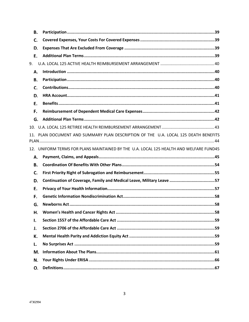| В. |                                                                                        |
|----|----------------------------------------------------------------------------------------|
| C. |                                                                                        |
| D. |                                                                                        |
| Е. |                                                                                        |
| 9. |                                                                                        |
| А. |                                                                                        |
| В. |                                                                                        |
| C. |                                                                                        |
| D. |                                                                                        |
| Е. |                                                                                        |
| F. |                                                                                        |
| G. |                                                                                        |
|    |                                                                                        |
|    | 11. PLAN DOCUMENT AND SUMMARY PLAN DESCRIPTION OF THE U.A. LOCAL 125 DEATH BENEFITS    |
|    | 12. UNIFORM TERMS FOR PLANS MAINTAINED BY THE U.A. LOCAL 125 HEALTH AND WELFARE FUND45 |
| А. |                                                                                        |
| В. |                                                                                        |
| C. |                                                                                        |
| D. | Continuation of Coverage, Family and Medical Leave, Military Leave 57                  |
| Е. |                                                                                        |
| F. |                                                                                        |
| G. |                                                                                        |
| н. |                                                                                        |
| ۱. |                                                                                        |
| J. |                                                                                        |
| К. |                                                                                        |
| L. |                                                                                        |
| M. |                                                                                        |
| N. |                                                                                        |
| Ο. |                                                                                        |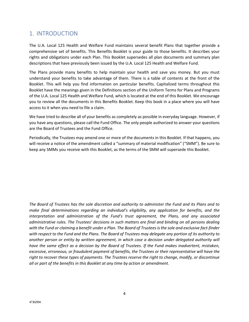# 1. INTRODUCTION

The U.A. Local 125 Health and Welfare Fund maintains several benefit Plans that together provide a comprehensive set of benefits. This Benefits Booklet is your guide to those benefits. It describes your rights and obligations under each Plan. This Booklet supersedes all plan documents and summary plan descriptions that have previously been issued by the U.A. Local 125 Health and Welfare Fund.

The Plans provide many benefits to help maintain your health and save you money. But you must understand your benefits to take advantage of them. There is a table of contents at the front of the Booklet. This will help you find information on particular benefits. Capitalized terms throughout this Booklet have the meanings given in the Definitions section of the Uniform Terms for Plans and Programs of the U.A. Local 125 Health and Welfare Fund, which is located at the end of this Booklet. We encourage you to review all the documents in this Benefits Booklet. Keep this book in a place where you will have access to it when you need to file a claim.

We have tried to describe all of your benefits as completely as possible in everyday language. However, if you have any questions, please call the Fund Office. The only people authorized to answer your questions are the Board of Trustees and the Fund Office.

Periodically, the Trustees may amend one or more of the documents in this Booklet. If that happens, you will receive a notice of the amendment called a "summary of material modification" ("SMM"). Be sure to keep any SMMs you receive with this Booklet, as the terms of the SMM will supersede this Booklet.

*The Board of Trustees has the sole discretion and authority to administer the Fund and its Plans and to make final determinations regarding an individual's eligibility, any application for benefits, and the interpretation and administration of the Fund's trust agreement, the Plans, and any associated administrative rules. The Trustees' decisions in such matters are final and binding on all persons dealing with the Fund or claiming a benefit under a Plan. The Board of Trustees is the sole and exclusive fact-finder with respect to the Fund and the Plans. The Board of Trustees may delegate any portion of its authority to another person or entity by written agreement, in which case a decision under delegated authority will have the same effect as a decision by the Board of Trustees. If the Fund makes inadvertent, mistaken, excessive, erroneous, or fraudulent payment of benefits, the Trustees or their representative will have the right to recover these types of payments. The Trustees reserve the right to change, modify, or discontinue all or part of the benefits in this Booklet at any time by action or amendment.*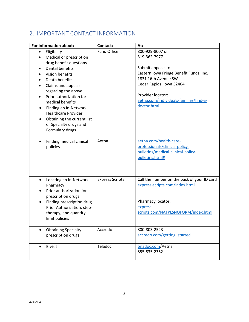# 2. IMPORTANT CONTACT INFORMATION

| For information about:                                                                                                                                                                                                                                                                                                                                                                  | Contact:               | At:                                                                                                                                                                                                                               |
|-----------------------------------------------------------------------------------------------------------------------------------------------------------------------------------------------------------------------------------------------------------------------------------------------------------------------------------------------------------------------------------------|------------------------|-----------------------------------------------------------------------------------------------------------------------------------------------------------------------------------------------------------------------------------|
| Eligibility<br>$\bullet$<br>Medical or prescription<br>drug benefit questions<br><b>Dental benefits</b><br>Vision benefits<br>Death benefits<br>Claims and appeals<br>regarding the above<br>Prior authorization for<br>$\bullet$<br>medical benefits<br>Finding an In-Network<br><b>Healthcare Provider</b><br>Obtaining the current list<br>of Specialty drugs and<br>Formulary drugs | Fund Office            | 800-929-8007 or<br>319-362-7977<br>Submit appeals to:<br>Eastern Iowa Fringe Benefit Funds, Inc.<br>1831 16th Avenue SW<br>Cedar Rapids, Iowa 52404<br>Provider locator:<br>aetna.com/individuals-families/find-a-<br>doctor.html |
| Finding medical clinical<br>$\bullet$<br>policies                                                                                                                                                                                                                                                                                                                                       | Aetna                  | aetna.com/health-care-<br>professionals/clinical-policy-<br>bulletins/medical-clinical-policy-<br>bulletins.html#                                                                                                                 |
| Locating an In-Network<br>$\bullet$<br>Pharmacy<br>Prior authorization for<br>prescription drugs<br>Finding prescription drug<br>$\bullet$<br>Prior Authorization, step-<br>therapy, and quantity<br>limit policies                                                                                                                                                                     | <b>Express Scripts</b> | Call the number on the back of your ID card<br>express-scripts.com/index.html<br>Pharmacy locator:<br>express-<br>scripts.com/NATPLSNOFORM/index.html                                                                             |
| <b>Obtaining Specialty</b><br>prescription drugs                                                                                                                                                                                                                                                                                                                                        | Accredo                | 800-803-2523<br>accredo.com/getting started                                                                                                                                                                                       |
| E-visit<br>$\bullet$                                                                                                                                                                                                                                                                                                                                                                    | Teladoc                | teladoc.com/Aetna<br>855-835-2362                                                                                                                                                                                                 |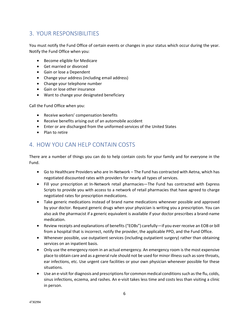# 3. YOUR RESPONSIBILITIES

You must notify the Fund Office of certain events or changes in your status which occur during the year. Notify the Fund Office when you:

- Become eligible for Medicare
- Get married or divorced
- Gain or lose a Dependent
- Change your address (including email address)
- Change your telephone number
- Gain or lose other insurance
- Want to change your designated beneficiary

Call the Fund Office when you:

- Receive workers' compensation benefits
- Receive benefits arising out of an automobile accident
- Enter or are discharged from the uniformed services of the United States
- Plan to retire

# 4. HOW YOU CAN HELP CONTAIN COSTS

There are a number of things you can do to help contain costs for your family and for everyone in the Fund.

- Go to Healthcare Providers who are In-Network The Fund has contracted with Aetna, which has negotiated discounted rates with providers for nearly all types of services.
- Fill your prescription at In-Network retail pharmacies—The Fund has contracted with Express Scripts to provide you with access to a network of retail pharmacies that have agreed to charge negotiated rates for prescription medications.
- Take generic medications instead of brand name medications whenever possible and approved by your doctor. Request generic drugs when your physician is writing you a prescription. You can also ask the pharmacist if a generic equivalent is available if your doctor prescribes a brand-name medication.
- Review receipts and explanations of benefits ("EOBs") carefully—if you ever receive an EOB or bill from a hospital that is incorrect, notify the provider, the applicable PPO, and the Fund Office.
- Whenever possible, use outpatient services (including outpatient surgery) rather than obtaining services on an inpatient basis.
- Only use the emergency room in an actual emergency. An emergency room is the most expensive place to obtain care and as a general rule should not be used for minor illness such as sore throats, ear infections, etc. Use urgent care facilities or your own physician whenever possible for these situations.
- Use an e-visit for diagnosis and prescriptions for common medical conditions such as the flu, colds, sinus infections, eczema, and rashes. An e-visit takes less time and costs less than visiting a clinic in person.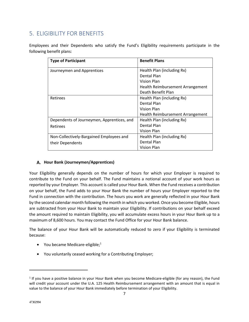# 5. ELIGIBILITY FOR BENEFITS

Employees and their Dependents who satisfy the Fund's Eligibility requirements participate in the following benefit plans:

| <b>Type of Participant</b>                 | <b>Benefit Plans</b>             |
|--------------------------------------------|----------------------------------|
| Journeymen and Apprentices                 | Health Plan (including Rx)       |
|                                            | Dental Plan                      |
|                                            | Vision Plan                      |
|                                            | Health Reimbursement Arrangement |
|                                            | Death Benefit Plan               |
| Retirees                                   | Health Plan (including Rx)       |
|                                            | Dental Plan                      |
|                                            | Vision Plan                      |
|                                            | Health Reimbursement Arrangement |
| Dependents of Journeymen, Apprentices, and | Health Plan (including Rx)       |
| <b>Retirees</b>                            | <b>Dental Plan</b>               |
|                                            | Vision Plan                      |
| Non-Collectively-Bargained Employees and   | Health Plan (including Rx)       |
| their Dependents                           | Dental Plan                      |
|                                            | Vision Plan                      |

## **Hour Bank (Journeymen/Apprentices)**

Your Eligibility generally depends on the number of hours for which your Employer is required to contribute to the Fund on your behalf. The Fund maintains a notional account of your work hours as reported by your Employer. This account is called your Hour Bank. When the Fund receives a contribution on your behalf, the Fund adds to your Hour Bank the number of hours your Employer reported to the Fund in connection with the contribution. The hours you work are generally reflected in your Hour Bank by the second calendar month following the month in which you worked. Once you become Eligible, hours are subtracted from your Hour Bank to maintain your Eligibility. If contributions on your behalf exceed the amount required to maintain Eligibility, you will accumulate excess hours in your Hour Bank up to a maximum of 8,600 hours. You may contact the Fund Office for your Hour Bank balance.

The balance of your Hour Bank will be automatically reduced to zero if your Eligibility is terminated because:

- You became Medicare-eligible; $<sup>1</sup>$ </sup>
- You voluntarily ceased working for a Contributing Employer;

 $<sup>1</sup>$  If you have a positive balance in your Hour Bank when you become Medicare-eligible (for any reason), the Fund</sup> will credit your account under the U.A. 125 Health Reimbursement arrangement with an amount that is equal in value to the balance of your Hour Bank immediately before termination of your Eligibility.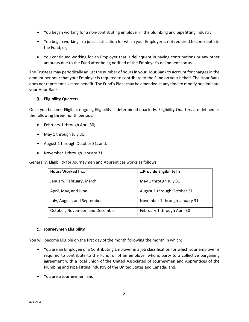- You began working for a non-contributing employer in the plumbing and pipefitting industry;
- You began working in a job classification for which your Employer is not required to contribute to the Fund; or,
- You continued working for an Employer that is delinquent in paying contributions or any other amounts due to the Fund after being notified of the Employer's delinquent status.

The Trustees may periodically adjust the number of hours in your Hour Bank to account for changes in the amount per hour that your Employer is required to contribute to the Fund on your behalf. The Hour Bank does not represent a vested benefit. The Fund's Plans may be amended at any time to modify or eliminate your Hour Bank.

#### **Eligibility Quarters**

Once you become Eligible, ongoing Eligibility is determined quarterly. Eligibility Quarters are defined as the following three-month periods:

- February 1 through April 30;
- May 1 through July 31;
- August 1 through October 31; and,
- November 1 through January 31.

Generally, Eligibility for Journeymen and Apprentices works as follows:

| <b>Hours Worked In</b>          | Provide Eligibility In        |
|---------------------------------|-------------------------------|
| January, February, March        | May 1 through July 31         |
| April, May, and June            | August 1 through October 31   |
| July, August, and September     | November 1 through January 31 |
| October, November, and December | February 1 through April 30   |

#### **Journeymen Eligibility**

You will become Eligible on the first day of the month following the month in which:

- You are an Employee of a Contributing Employer in a job classification for which your employer is required to contribute to the Fund, or of an employer who is party to a collective bargaining agreement with a local union of the United Associated of Journeymen and Apprentices of the Plumbing and Pipe Fitting Industry of the United States and Canada; and,
- You are a Journeymen; and,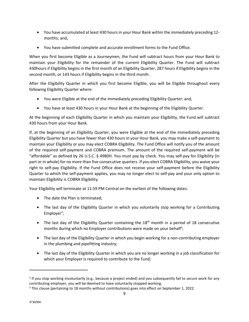- You have accumulated at least 430 hours in your Hour Bank within the immediately preceding 12 months; and,
- You have submitted complete and accurate enrollment forms to the Fund Office.

When you first become Eligible as a Journeymen, the Fund will subtract hours from your Hour Bank to maintain your Eligibility for the remainder of the current Eligibility Quarter. The Fund will subtract 430hours if Eligibility begins in the first month of an Eligibility Quarter, 287 hours if Eligibility begins in the second month, or 143 hours if Eligibility begins in the third month.

After the Eligibility Quarter in which you first become Eligible, you will be Eligible throughout every following Eligibility Quarter where:

- You were Eligible at the end of the immediately preceding Eligibility Quarter; and,
- You have at least 430 hours in your Hour Bank at the beginning of the Eligibility Quarter.

At the beginning of each Eligibility Quarter in which you maintain your Eligibility, the Fund will subtract 430 hours from your Hour Bank.

If, at the beginning of an Eligibility Quarter, you were Eligible at the end of the immediately preceding Eligibility Quarter but you have fewer than 430 hours in your Hour Bank, you may make a self-payment to maintain your Eligibility or you may elect COBRA Eligibility. The Fund Office will notify you of the amount of the required self-payment and COBRA premium. The amount of the required self-payment will be "affordable" as defined by 26 U.S.C. § 4980H. You must pay by check. You may self-pay for Eligibility (in part or in whole) for no more than five consecutive quarters. If you elect COBRA Eligibility, you waive your right to self-pay Eligibility. If the Fund Office does not receive your self-payment before the Eligibility Quarter to which the self-payment applies, you may no longer elect to self-pay and your only option to maintain Eligibility is COBRA Eligibility.

Your Eligibility will terminate at 11:59 PM Central on the earliest of the following dates:

- The date the Plan is terminated;
- The last day of the Eligibility Quarter in which you voluntarily stop working for a Contributing Employer<sup>2</sup>;
- The last day of the Eligibility Quarter containing the  $18<sup>th</sup>$  month in a period of 18 consecutive months during which no Employer contributions were made on your behalf<sup>3</sup>;
- The last day of the Eligibility Quarter in which you begin working for a non-contributing employer in the plumbing and pipefitting industry;
- The last day of the Eligibility Quarter in which you are no longer working in a job classification for which your Employer is required to contribute to the Fund;

 $2$  If you stop working involuntarily (e.g., because a project ended) and you subsequently fail to secure work for any contributing employer, you will be deemed to have voluntarily stopped working. 3

<sup>&</sup>lt;sup>3</sup> This clause (pertaining to 18 months without contributions) goes into effect on September 1, 2022.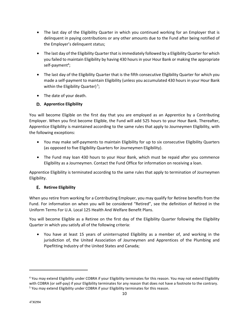- The last day of the Eligibility Quarter in which you continued working for an Employer that is delinquent in paying contributions or any other amounts due to the Fund after being notified of the Employer's delinquent status;
- The last day of the Eligibility Quarter that is immediately followed by a Eligibility Quarter for which you failed to maintain Eligibility by having 430 hours in your Hour Bank or making the appropriate self-payment<sup>4</sup>;
- The last day of the Eligibility Quarter that is the fifth consecutive Eligibility Quarter for which you made a self-payment to maintain Eligibility (unless you accumulated 430 hours in your Hour Bank within the Eligibility Quarter)<sup>5</sup>;
- The date of your death.

### **Apprentice Eligibility**

You will become Eligible on the first day that you are employed as an Apprentice by a Contributing Employer. When you first become Eligible, the Fund will add 525 hours to your Hour Bank. Thereafter, Apprentice Eligibility is maintained according to the same rules that apply to Journeymen Eligibility, with the following exceptions:

- You may make self-payments to maintain Eligibility for up to six consecutive Eligibility Quarters (as opposed to five Eligibility Quarters for Journeymen Eligibility).
- The Fund may loan 430 hours to your Hour Bank, which must be repaid after you commence Eligibility as a Journeymen. Contact the Fund Office for information on receiving a loan.

Apprentice Eligibility is terminated according to the same rules that apply to termination of Journeymen Eligibility.

#### **Retiree Eligibility**

When you retire from working for a Contributing Employer, you may qualify for Retiree benefits from the Fund. For information on when you will be considered "Retired", see the definition of Retired in the Uniform Terms For U.A. Local 125 Health And Welfare Benefit Plans.

You will become Eligible as a Retiree on the first day of the Eligibility Quarter following the Eligibility Quarter in which you satisfy all of the following criteria:

• You have at least 15 years of uninterrupted Eligibility as a member of, and working in the jurisdiction of, the United Association of Journeymen and Apprentices of the Plumbing and Pipefitting Industry of the United States and Canada;

<sup>&</sup>lt;sup>4</sup> You may extend Eligibility under COBRA if your Eligibility terminates for this reason. You may not extend Eligibility with COBRA (or self-pay) if your Eligibility terminates for any reason that does not have a footnote to the contrary. <sup>5</sup> You may extend Eligibility under COBRA if your Eligibility terminates for this reason.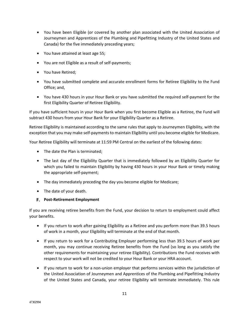- You have been Eligible (or covered by another plan associated with the United Association of Journeymen and Apprentices of the Plumbing and Pipefitting Industry of the United States and Canada) for the five immediately preceding years;
- You have attained at least age 55;
- You are not Eligible as a result of self-payments;
- You have Retired;
- You have submitted complete and accurate enrollment forms for Retiree Eligibility to the Fund Office; and,
- You have 430 hours in your Hour Bank or you have submitted the required self-payment for the first Eligibility Quarter of Retiree Eligibility.

If you have sufficient hours in your Hour Bank when you first become Eligible as a Retiree, the Fund will subtract 430 hours from your Hour Bank for your Eligibility Quarter as a Retiree.

Retiree Eligibility is maintained according to the same rules that apply to Journeymen Eligibility, with the exception that you may make self-payments to maintain Eligibility until you become eligible for Medicare.

Your Retiree Eligibility will terminate at 11:59 PM Central on the earliest of the following dates:

- The date the Plan is terminated;
- The last day of the Eligibility Quarter that is immediately followed by an Eligibility Quarter for which you failed to maintain Eligibility by having 430 hours in your Hour Bank or timely making the appropriate self-payment;
- The day immediately preceding the day you become eligible for Medicare;
- The date of your death.

#### **Post-Retirement Employment**

If you are receiving retiree benefits from the Fund, your decision to return to employment could affect your benefits.

- If you return to work after gaining Eligibility as a Retiree and you perform more than 39.5 hours of work in a month, your Eligibility will terminate at the end of that month.
- If you return to work for a Contributing Employer performing less than 39.5 hours of work per month, you may continue receiving Retiree benefits from the Fund (so long as you satisfy the other requirements for maintaining your retiree Eligibility). Contributions the Fund receives with respect to your work will not be credited to your Hour Bank or your HRA account.
- If you return to work for a non-union employer that performs services within the jurisdiction of the United Association of Journeymen and Apprentices of the Plumbing and Pipefitting Industry of the United States and Canada, your retiree Eligibility will terminate immediately. This rule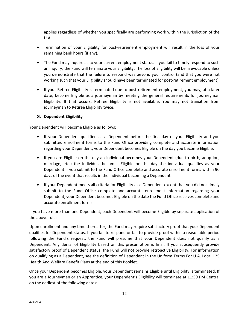applies regardless of whether you specifically are performing work within the jurisdiction of the U.A.

- Termination of your Eligibility for post-retirement employment will result in the loss of your remaining bank hours (if any).
- The Fund may inquire as to your current employment status. If you fail to timely respond to such an inquiry, the Fund will terminate your Eligibility. The loss of Eligibility will be irrevocable unless you demonstrate that the failure to respond was beyond your control (and that you were not working such that your Eligibility should have been terminated for post-retirement employment).
- If your Retiree Eligibility is terminated due to post-retirement employment, you may, at a later date, become Eligible as a journeyman by meeting the general requirements for journeyman Eligibility. If that occurs, Retiree Eligibility is not available. You may not transition from journeyman to Retiree Eligibility twice.

#### **Dependent Eligibility**

Your Dependent will become Eligible as follows:

- If your Dependent qualified as a Dependent before the first day of your Eligibility and you submitted enrollment forms to the Fund Office providing complete and accurate information regarding your Dependent, your Dependent becomes Eligible on the day you become Eligible.
- If you are Eligible on the day an individual becomes your Dependent (due to birth, adoption, marriage, etc.) the individual becomes Eligible on the day the individual qualifies as your Dependent if you submit to the Fund Office complete and accurate enrollment forms within 90 days of the event that results in the individual becoming a Dependent.
- If your Dependent meets all criteria for Eligibility as a Dependent except that you did not timely submit to the Fund Office complete and accurate enrollment information regarding your Dependent, your Dependent becomes Eligible on the date the Fund Office receives complete and accurate enrollment forms.

If you have more than one Dependent, each Dependent will become Eligible by separate application of the above rules.

Upon enrollment and any time thereafter, the Fund may require satisfactory proof that your Dependent qualifies for Dependent status. If you fail to respond or fail to provide proof within a reasonable period following the Fund's request, the Fund will presume that your Dependent does not qualify as a Dependent. Any denial of Eligibility based on this presumption is final. If you subsequently provide satisfactory proof of Dependent status, the Fund will not provide retroactive Eligibility. For information on qualifying as a Dependent, see the definition of Dependent in the Uniform Terms For U.A. Local 125 Health And Welfare Benefit Plans at the end of this Booklet.

Once your Dependent becomes Eligible, your Dependent remains Eligible until Eligibility is terminated. If you are a Journeymen or an Apprentice, your Dependent's Eligibility will terminate at 11:59 PM Central on the earliest of the following dates: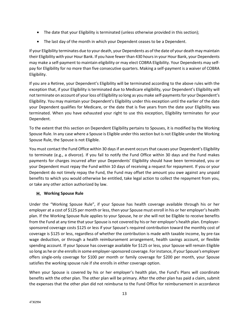- The date that your Eligibility is terminated (unless otherwise provided in this section);
- The last day of the month in which your Dependent ceases to be a Dependent.

If your Eligibility terminates due to your death, your Dependents as of the date of your death may maintain their Eligibility with your Hour Bank. If you have fewer than 430 hours in your Hour Bank, your Dependents may make a self-payment to maintain eligibility or may elect COBRA Eligibility. Your Dependents may selfpay for Eligibility for no more than five consecutive quarters. Making a self-payment is a waiver of COBRA Eligibility.

If you are a Retiree, your Dependent's Eligibility will be terminated according to the above rules with the exception that, if your Eligibility is terminated due to Medicare eligibility, your Dependent's Eligibility will not terminate on account of your loss of Eligibility so long as you make self-payments for your Dependent's Eligibility. You may maintain your Dependent's Eligibility under this exception until the earlier of the date your Dependent qualifies for Medicare, or the date that is five years from the date your Eligibility was terminated. When you have exhausted your right to use this exception, Eligibility terminates for your Dependent.

To the extent that this section on Dependent Eligibility pertains to Spouses, it is modified by the Working Spouse Rule. In any case where a Spouse is Eligible under this section but is not Eligible under the Working Spouse Rule, the Spouse is not Eligible.

You must contact the Fund Office within 30 days if an event occurs that causes your Dependent's Eligibility to terminate (e.g., a divorce). If you fail to notify the Fund Office within 30 days and the Fund makes payments for charges incurred after your Dependents' Eligibility should have been terminated, you or your Dependent must repay the Fund within 10 days of receiving a request for repayment. If you or your Dependent do not timely repay the Fund, the Fund may offset the amount you owe against any unpaid benefits to which you would otherwise be entitled, take legal action to collect the repayment from you, or take any other action authorized by law.

#### **Working Spouse Rule**

Under the "Working Spouse Rule", if your Spouse has health coverage available through his or her employer at a cost of \$125 per month or less, then your Spouse must enroll in his or her employer's health plan. If the Working Spouse Rule applies to your Spouse, he or she will not be Eligible to receive benefits from the Fund at any time that your Spouse is not covered by his or her employer's health plan. Employersponsored coverage costs \$125 or less if your Spouse's required contribution toward the monthly cost of coverage is \$125 or less, regardless of whether the contribution is made with taxable income, by pre-tax wage deduction, or through a health reimbursement arrangement, health savings account, or flexible spending account. If your Spouse has coverage available for \$125 or less, your Spouse will remain Eligible so long as he or she enrolls in some employer-sponsored coverage. For instance, if your Spouse's employer offers single-only coverage for \$100 per month or family coverage for \$200 per month, your Spouse satisfies the working spouse rule if she enrolls in either coverage option.

When your Spouse is covered by his or her employer's health plan, the Fund's Plans will coordinate benefits with the other plan. The other plan will be primary. After the other plan has paid a claim, submit the expenses that the other plan did not reimburse to the Fund Office for reimbursement in accordance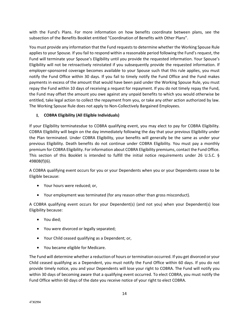with the Fund's Plans. For more information on how benefits coordinate between plans, see the subsection of the Benefits Booklet entitled "Coordination of Benefits with Other Plans".

You must provide any information that the Fund requests to determine whether the Working Spouse Rule applies to your Spouse. If you fail to respond within a reasonable period following the Fund's request, the Fund will terminate your Spouse's Eligibility until you provide the requested information. Your Spouse's Eligibility will not be retroactively reinstated if you subsequently provide the requested information. If employer-sponsored coverage becomes available to your Spouse such that this rule applies, you must notify the Fund Office within 30 days. If you fail to timely notify the Fund Office and the Fund makes payments in excess of the amount that would have been paid under the Working Spouse Rule, you must repay the Fund within 10 days of receiving a request for repayment. If you do not timely repay the Fund, the Fund may offset the amount you owe against any unpaid benefits to which you would otherwise be entitled, take legal action to collect the repayment from you, or take any other action authorized by law. The Working Spouse Rule does not apply to Non-Collectively Bargained Employees.

#### **COBRA Eligibility (All Eligible Individuals)**

If your Eligibility terminatesdue to COBRA qualifying event, you may elect to pay for COBRA Eligibility. COBRA Eligibility will begin on the day immediately following the day that your previous Eligibility under the Plan terminated. Under COBRA Eligibility, your benefits will generally be the same as under your previous Eligibility. Death benefits do not continue under COBRA Eligibility. You must pay a monthly premium for COBRA Eligibility. For information about COBRA Eligibility premiums, contact the Fund Office. This section of this Booklet is intended to fulfill the initial notice requirements under 26 U.S.C. § 4980B(f)(6).

A COBRA qualifying event occurs for you or your Dependents when you or your Dependents cease to be Eligible because:

- Your hours were reduced; or,
- Your employment was terminated (for any reason other than gross misconduct).

A COBRA qualifying event occurs for your Dependent(s) (and not you) when your Dependent(s) lose Eligibility because:

- You died;
- You were divorced or legally separated;
- Your Child ceased qualifying as a Dependent; or,
- You became eligible for Medicare.

The Fund will determine whether a reduction of hours or termination occurred. If you get divorced or your Child ceased qualifying as a Dependent, you must notify the Fund Office within 60 days. If you do not provide timely notice, you and your Dependents will lose your right to COBRA. The Fund will notify you within 30 days of becoming aware that a qualifying event occurred. To elect COBRA, you must notify the Fund Office within 60 days of the date you receive notice of your right to elect COBRA.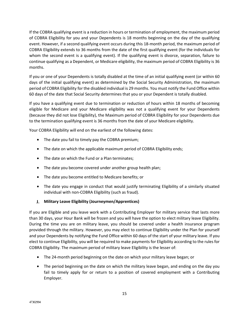If the COBRA qualifying event is a reduction in hours or termination of employment, the maximum period of COBRA Eligibility for you and your Dependents is 18 months beginning on the day of the qualifying event. However, if a second qualifying event occurs during this 18-month period, the maximum period of COBRA Eligibility extends to 36 months from the date of the first qualifying event (for the individuals for whom the second event is a qualifying event). If the qualifying event is divorce, separation, failure to continue qualifying as a Dependent, or Medicare eligibility, the maximum period of COBRA Eligibility is 36 months.

If you or one of your Dependents is totally disabled at the time of an initial qualifying event (or within 60 days of the initial qualifying event) as determined by the Social Security Administration, the maximum period of COBRA Eligibility for the disabled individual is 29 months. You must notify the Fund Office within 60 days of the date that Social Security determines that you or your Dependent is totally disabled.

If you have a qualifying event due to termination or reduction of hours within 18 months of becoming eligible for Medicare and your Medicare eligibility was not a qualifying event for your Dependents (because they did not lose Eligibility), the Maximum period of COBRA Eligibility for your Dependents due to the termination qualifying event is 36 months from the date of your Medicare eligibility.

Your COBRA Eligibility will end on the earliest of the following dates:

- The date you fail to timely pay the COBRA premium;
- The date on which the applicable maximum period of COBRA Eligibility ends;
- The date on which the Fund or a Plan terminates;
- The date you become covered under another group health plan;
- The date you become entitled to Medicare benefits; or
- The date you engage in conduct that would justify terminating Eligibility of a similarly situated individual with non-COBRA Eligibility (such as fraud).

#### **Military Leave Eligibility (Journeymen/Apprentices)**

If you are Eligible and you leave work with a Contributing Employer for military service that lasts more than 30 days, your Hour Bank will be frozen and you will have the option to elect military leave Eligibility. During the time you are on military leave, you should be covered under a health insurance program provided through the military. However, you may elect to continue Eligibility under the Plan for yourself and your Dependents by notifying the Fund Office within 60 days of the start of your military leave. If you elect to continue Eligibility, you will be required to make payments for Eligibility according to the rules for COBRA Eligibility. The maximum period of military leave Eligibility is the lesser of:

- The 24-month period beginning on the date on which your military leave began; or
- The period beginning on the date on which the military leave began, and ending on the day you fail to timely apply for or return to a position of covered employment with a Contributing Employer.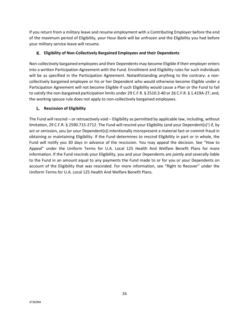If you return from a military leave and resume employment with a Contributing Employer before the end of the maximum period of Eligibility, your Hour Bank will be unfrozen and the Eligibility you had before your military service leave will resume.

#### **Eligibility of Non-Collectively Bargained Employees and their Dependents**

Non-collectively bargained employees and their Dependents may become Eligible if their employer enters into a written Participation Agreement with the Fund. Enrollment and Eligibility rules for such individuals will be as specified in the Participation Agreement. Notwithstanding anything to the contrary: a noncollectively bargained employee or his or her Dependent who would otherwise become Eligible under a Participation Agreement will not become Eligible if such Eligibility would cause a Plan or the Fund to fail to satisfy the non-bargained participation limits under 29 C.F.R. § 2510.3-40 or 26 C.F.R. § 1.419A-2T; and, the working spouse rule does not apply to non-collectively bargained employees.

#### **Rescission of Eligibility**

The Fund will rescind – or retroactively void – Eligibility as permitted by applicable law, including, without limitation, 29 C.F.R. § 2590.715-2712. The Fund will rescind your Eligibility (and your Dependent(s)') if, by act or omission, you (or your Dependent(s)) intentionally misrepresent a material fact or commit fraud in obtaining or maintaining Eligibility. If the Fund determines to rescind Eligibility in part or in whole, the Fund will notify you 30 days in advance of the rescission. You may appeal the decision. See "How to Appeal" under the Uniform Terms for U.A. Local 125 Health And Welfare Benefit Plans for more information. If the Fund rescinds your Eligibility, you and your Dependents are jointly and severally liable to the Fund in an amount equal to any payments the Fund made to or for you or your Dependents on account of the Eligibility that was rescinded. For more information, see "Right to Recover" under the Uniform Terms for U.A. Local 125 Health And Welfare Benefit Plans.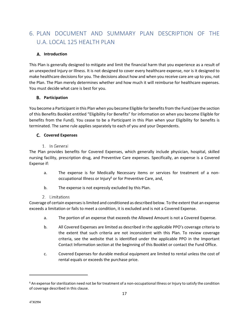# 6. PLAN DOCUMENT AND SUMMARY PLAN DESCRIPTION OF THE U.A. LOCAL 125 HEALTH PLAN

#### **Introduction**

This Plan is generally designed to mitigate and limit the financial harm that you experience as a result of an unexpected Injury or Illness. It is not designed to cover every healthcare expense, nor is it designed to make healthcare decisions for you. The decisions about how and when you receive care are up to you, not the Plan. The Plan merely determines whether and how much it will reimburse for healthcare expenses. You must decide what care is best for you.

#### **Participation**

You become a Participant in this Plan when you become Eligible for benefits from the Fund (see the section of this Benefits Booklet entitled "Eligibility For Benefits" for information on when you become Eligible for benefits from the Fund). You cease to be a Participant in this Plan when your Eligibility for benefits is terminated. The same rule applies separately to each of you and your Dependents.

#### **C.** Covered Expenses

1. In General

The Plan provides benefits for Covered Expenses, which generally include physician, hospital, skilled nursing facility, prescription drug, and Preventive Care expenses. Specifically, an expense is a Covered Expense if:

- a. The expense is for Medically Necessary items or services for treatment of a nonoccupational Illness or Injury<sup>6</sup> or for Preventive Care, and,
- b. The expense is not expressly excluded by this Plan.

#### 2. Limitations

Coverage of certain expenses is limited and conditioned as described below. To the extent that an expense exceeds a limitation or fails to meet a condition, it is excluded and is not a Covered Expense.

- a. The portion of an expense that exceeds the Allowed Amount is not a Covered Expense.
- b. All Covered Expenses are limited as described in the applicable PPO's coverage criteria to the extent that such criteria are not inconsistent with this Plan. To review coverage criteria, see the website that is identified under the applicable PPO in the Important Contact Information section at the beginning of this Booklet or contact the Fund Office.
- c. Covered Expenses for durable medical equipment are limited to rental unless the cost of rental equals or exceeds the purchase price.

<sup>&</sup>lt;sup>6</sup> An expense for sterilization need not be for treatment of a non-occupational Illness or Injury to satisfy the condition of coverage described in this clause.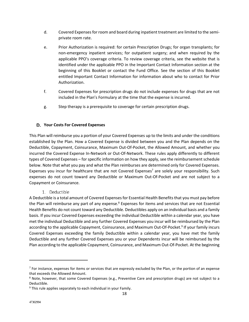- d. Covered Expenses for room and board during inpatient treatment are limited to the semiprivate room rate.
- e. Prior Authorization is required: for certain Prescription Drugs; for organ transplants; for non-emergency inpatient services; for outpatient surgery; and when required by the applicable PPO's coverage criteria. To review coverage criteria, see the website that is identified under the applicable PPO in the Important Contact Information section at the beginning of this Booklet or contact the Fund Office. See the section of this Booklet entitled Important Contact Information for information about who to contact for Prior Authorization.
- f. Covered Expenses for prescription drugs do not include expenses for drugs that are not included in the Plan's Formulary at the time that the expense is incurred.
- g. Step therapy is a prerequisite to coverage for certain prescription drugs.

#### **Your Costs For Covered Expenses**

This Plan will reimburse you a portion of your Covered Expenses up to the limits and under the conditions established by the Plan. How a Covered Expense is divided between you and the Plan depends on the Deductible, Copayment, Coinsurance, Maximum Out-Of-Pocket, the Allowed Amount, and whether you incurred the Covered Expense In-Network or Out-Of-Network. These rules apply differently to different types of Covered Expenses – for specific information on how they apply, see the reimbursement schedule below. Note that what you pay and what the Plan reimburses are determined only for Covered Expenses. Expenses you incur for healthcare that are not Covered Expenses<sup>7</sup> are solely your responsibility. Such expenses do not count toward any Deductible or Maximum Out-Of-Pocket and are not subject to a Copayment or Coinsurance.

1. Deductible

A Deductible is a total amount of Covered Expenses for Essential Health Benefits that you must pay before the Plan will reimburse any part of any expense.<sup>8</sup> Expenses for items and services that are not Essential Health Benefits do not count toward any Deductible. Deductibles apply on an individual basis and a family basis. If you incur Covered Expenses exceeding the individual Deductible within a calendar year, you have met the individual Deductible and any further Covered Expenses you incur will be reimbursed by the Plan according to the applicable Copayment, Coinsurance, and Maximum Out-Of-Pocket.<sup>9</sup> If your family incurs Covered Expenses exceeding the family Deductible within a calendar year, you have met the family Deductible and any further Covered Expenses you or your Dependents incur will be reimbursed by the Plan according to the applicable Copayment, Coinsurance, and Maximum Out-Of-Pocket. At the beginning

<sup>&</sup>lt;sup>7</sup> For instance, expenses for items or services that are expressly excluded by the Plan, or the portion of an expense that exceeds the Allowed Amount.

<sup>&</sup>lt;sup>8</sup> Note, however, that some Covered Expenses (e.g., Preventive Care and prescription drugs) are not subject to a Deductible.

<sup>9</sup> This rule applies separately to each individual in your Family.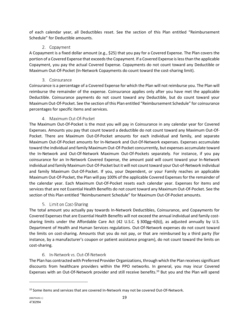of each calendar year, all Deductibles reset. See the section of this Plan entitled "Reimbursement Schedule" for Deductible amounts.

## 2. Copayment

A Copayment is a fixed dollar amount (e.g., \$25) that you pay for a Covered Expense. The Plan covers the portion of a Covered Expense that exceeds the Copayment. If a Covered Expense is less than the applicable Copayment, you pay the actual Covered Expense. Copayments do not count toward any Deductible or Maximum Out-Of-Pocket (In-Network Copayments do count toward the cost-sharing limit).

# 3. Coinsurance

Coinsurance is a percentage of a Covered Expense for which the Plan will not reimburse you. The Plan will reimburse the remainder of the expense. Coinsurance applies only after you have met the applicable Deductible. Coinsurance payments do not count toward any Deductible, but do count toward your Maximum Out-Of-Pocket. See the section of this Plan entitled "Reimbursement Schedule" for coinsurance percentages for specific items and services.

# 4. Maximum Out-Of-Pocket

The Maximum Out-Of-Pocket is the most you will pay in Coinsurance in any calendar year for Covered Expenses. Amounts you pay that count toward a deductible do not count toward any Maximum Out-Of-Pocket. There are Maximum Out-Of-Pocket amounts for each individual and family, and separate Maximum Out-Of-Pocket amounts for In-Network and Out-Of-Network expenses. Expenses accumulate toward the individual and family Maximum Out-Of-Pocket concurrently, but expenses accumulate toward the In-Network and Out-Of-Network Maximum Out-Of-Pockets separately. For instance, if you pay coinsurance for an In-Network Covered Expense, the amount paid will count toward your In-Network individual and family Maximum Out-Of-Pocket but it will not count toward your Out-of-Network individual and family Maximum Out-Of-Pocket. If you, your Dependent, or your Family reaches an applicable Maximum Out-Of-Pocket, the Plan will pay 100% of the applicable Covered Expenses for the remainder of the calendar year. Each Maximum Out-Of-Pocket resets each calendar year. Expenses for items and services that are not Essential Health Benefits do not count toward any Maximum Out-Of-Pocket. See the section of this Plan entitled "Reimbursement Schedule" for Maximum Out-Of-Pocket amounts.

# 5. Limit on Cost-Sharing

The total amount you actually pay towards In-Network Deductibles, Coinsurance, and Copayments for Covered Expenses that are Essential Health Benefits will not exceed the annual individual and family costsharing limits under the Affordable Care Act (42 U.S.C. § 300gg–6(b)), as adjusted annually by U.S. Department of Health and Human Services regulations. Out-Of-Network expenses do not count toward the limits on cost-sharing. Amounts that you do not pay, or that are reimbursed by a third party (for instance, by a manufacturer's coupon or patient assistance program), do not count toward the limits on cost-sharing.

# 6. In-Network vs. Out-Of-Network

The Plan has contracted with Preferred Provider Organizations, through which the Plan receives significant discounts from healthcare providers within the PPO networks. In general, you may incur Covered Expenses with an Out-Of-Network provider and still receive benefits.<sup>10</sup> But you and the Plan will spend

<sup>&</sup>lt;sup>10</sup> Some items and services that are covered In-Network may not be covered Out-Of-Network.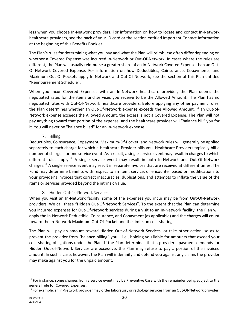less when you choose In-Network providers. For information on how to locate and contact In-Network healthcare providers, see the back of your ID card or the section entitled Important Contact Information at the beginning of this Benefits Booklet.

The Plan's rules for determining what you pay and what the Plan will reimburse often differ depending on whether a Covered Expense was incurred In-Network or Out-Of-Network. In cases where the rules are different, the Plan will usually reimburse a greater share of an In-Network Covered Expense than an Out-Of-Network Covered Expense. For information on how Deductibles, Coinsurance, Copayments, and Maximum Out-Of-Pockets apply In-Network and Out-Of-Network, see the section of this Plan entitled "Reimbursement Schedule".

When you incur Covered Expenses with an In-Network healthcare provider, the Plan deems the negotiated rates for the items and services you receive to be the Allowed Amount. The Plan has no negotiated rates with Out-Of-Network healthcare providers. Before applying any other payment rules, the Plan determines whether an Out-Of-Network expense exceeds the Allowed Amount. If an Out-of-Network expense exceeds the Allowed Amount, the excess is not a Covered Expense. The Plan will not pay anything toward that portion of the expense, and the healthcare provider will "balance bill" you for it. You will never be "balance billed" for an In-Network expense.

## 7. Billing

Deductibles, Coinsurance, Copayment, Maximum-Of-Pocket, and Network rules will generally be applied separately to each charge for which a Healthcare Provider bills you. Healthcare Providers typically bill a number of charges for one service event. As a result, a single service event may result in charges to which different rules apply.<sup>11</sup> A single service event may result in both In-Network and Out-Of-Network charges.12 A single service event may result in separate invoices that are received at different times. The Fund may determine benefits with respect to an item, service, or encounter based on modifications to your provider's invoices that correct inaccuracies, duplications, and attempts to inflate the value of the items or services provided beyond the intrinsic value.

## 8. Hidden Out-Of-Network Services

When you visit an In-Network facility, some of the expenses you incur may be from Out-Of-Network providers. We call these "Hidden Out-Of-Network Services". To the extent that the Plan can determine you incurred expenses for Out-Of-Network services during a visit to an In-Network facility, the Plan will apply the In-Network Deductible, Coinsurance, and Copayment (as applicable) and the charges will count toward the In-Network Maximum Out-Of-Pocket and the limits on cost-sharing.

The Plan will pay an amount toward Hidden Out-of-Network Services, or take other action, so as to prevent the provider from "balance billing" you – i.e., holding you liable for amounts that exceed your cost-sharing obligations under the Plan. If the Plan determines that a provider's payment demands for Hidden Out-of-Network Services are excessive, the Plan may refuse to pay a portion of the invoiced amount. In such a case, however, the Plan will indemnify and defend you against any claims the provider may make against you for the unpaid amount.

 $11$  For instance, some charges from a service event may be Preventive Care with the remainder being subject to the general rule for Covered Expenses.

 $12$  For example, an In-Network provider may order laboratory or radiology services from an Out-Of-Network provider.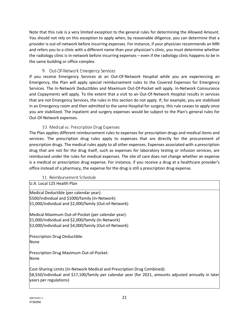Note that this rule is a very limited exception to the general rules for determining the Allowed Amount. You should not rely on this exception to apply when, by reasonable diligence, you can determine that a provider is out-of-network before incurring expenses. For instance, if your physician recommends an MRI and refers you to a clinic with a different name than your physician's clinic, you must determine whether the radiology clinic is in-network before incurring expenses – even if the radiology clinic happens to be in the same building or office complex.

# 9. Out-Of-Network Emergency Services

If you receive Emergency Services at an Out-Of-Network Hospital while you are experiencing an Emergency, the Plan will apply special reimbursement rules to the Covered Expenses for Emergency Services. The In-Network Deductibles and Maximum Out-Of-Pocket will apply. In-Network Coinsurance and Copayments will apply. To the extent that a visit to an Out-Of-Network Hospital results in services that are not Emergency Services, the rules in this section do not apply. If, for example, you are stabilized in an Emergency room and then admitted to the same Hospital for surgery, this rule ceases to apply once you are stabilized. The inpatient and surgery expenses would be subject to the Plan's general rules for Out-Of-Network expenses.

## 10. Medical vs. Prescription Drug Expenses

The Plan applies different reimbursement rules to expenses for prescription drugs and medical items and services. The prescription drug rules apply to expenses that are directly for the procurement of prescription drugs. The medical rules apply to all other expenses. Expenses associated with a prescription drug that are not for the drug itself, such as expenses for laboratory testing or infusion services, are reimbursed under the rules for medical expenses. The site of care does not change whether an expense is a medical or prescription drug expense. For instance, if you receive a drug at a healthcare provider's office instead of a pharmacy, the expense for the drug is still a prescription drug expense.

#### 11. Reimbursement Schedule

U.A. Local 125 Health Plan

Medical Deductible (per calendar year): \$500/individual and \$1000/family (In-Network) \$1,000/individual and \$2,000/family (Out-of-Network)

Medical Maximum Out-of-Pocket (per calendar year): \$1,000/individual and \$2,000/family (In-Network) \$2,000/individual and \$4,000/family (Out-of-Network)

Prescription Drug Deductible: None

Prescription Drug Maximum Out-of-Pocket: None

Cost-Sharing Limits (In-Network Medical and Prescription Drug Combined): \$8,550/individual and \$17,100/family per calendar year (for 2021, amounts adjusted annually in later years per regulations)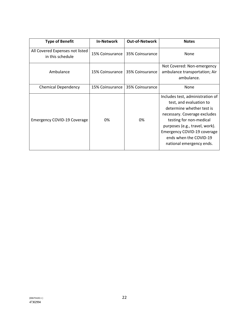| <b>Type of Benefit</b>                              | <b>In-Network</b> | <b>Out-of-Network</b> | <b>Notes</b>                                                                                                                                                                                                                                                               |
|-----------------------------------------------------|-------------------|-----------------------|----------------------------------------------------------------------------------------------------------------------------------------------------------------------------------------------------------------------------------------------------------------------------|
| All Covered Expenses not listed<br>in this schedule | 15% Coinsurance   | 35% Coinsurance       | None                                                                                                                                                                                                                                                                       |
| Ambulance                                           | 15% Coinsurance   | 35% Coinsurance       | Not Covered: Non-emergency<br>ambulance transportation; Air<br>ambulance.                                                                                                                                                                                                  |
| <b>Chemical Dependency</b>                          | 15% Coinsurance   | 35% Coinsurance       | None                                                                                                                                                                                                                                                                       |
| <b>Emergency COVID-19 Coverage</b>                  | 0%                | 0%                    | Includes test, administration of<br>test, and evaluation to<br>determine whether test is<br>necessary. Coverage excludes<br>testing for non-medical<br>purposes (e.g., travel, work).<br>Emergency COVID-19 coverage<br>ends when the COVID-19<br>national emergency ends. |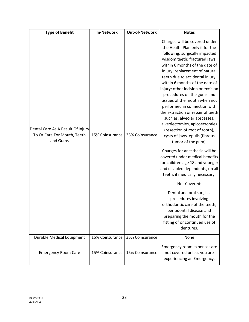| <b>Type of Benefit</b>                                                       | <b>In-Network</b> | <b>Out-of-Network</b> | <b>Notes</b>                                                                                                                                                                                                                                                                                                                                                                                                                                                                                                                                                                                                                                                                                                                                                                                                                                                                                                                                                                                                |
|------------------------------------------------------------------------------|-------------------|-----------------------|-------------------------------------------------------------------------------------------------------------------------------------------------------------------------------------------------------------------------------------------------------------------------------------------------------------------------------------------------------------------------------------------------------------------------------------------------------------------------------------------------------------------------------------------------------------------------------------------------------------------------------------------------------------------------------------------------------------------------------------------------------------------------------------------------------------------------------------------------------------------------------------------------------------------------------------------------------------------------------------------------------------|
| Dental Care As A Result Of Injury<br>To Or Care For Mouth, Teeth<br>and Gums | 15% Coinsurance   | 35% Coinsurance       | Charges will be covered under<br>the Health Plan only if for the<br>following: surgically impacted<br>wisdom teeth; fractured jaws,<br>within 6 months of the date of<br>injury; replacement of natural<br>teeth due to accidental injury,<br>within 6 months of the date of<br>injury; other incision or excision<br>procedures on the gums and<br>tissues of the mouth when not<br>performed in connection with<br>the extraction or repair of teeth<br>such as: alveolar abscesses,<br>alveolectomies, apicoectomies<br>(resection of root of tooth),<br>cysts of jaws, epulis (fibrous<br>tumor of the gum).<br>Charges for anesthesia will be<br>covered under medical benefits<br>for children age 18 and younger<br>and disabled dependents, on all<br>teeth, if medically necessary.<br>Not Covered:<br>Dental and oral surgical<br>procedures involving<br>orthodontic care of the teeth,<br>periodontal disease and<br>preparing the mouth for the<br>fitting of or continued use of<br>dentures. |
| <b>Durable Medical Equipment</b>                                             | 15% Coinsurance   | 35% Coinsurance       | None                                                                                                                                                                                                                                                                                                                                                                                                                                                                                                                                                                                                                                                                                                                                                                                                                                                                                                                                                                                                        |
| <b>Emergency Room Care</b>                                                   | 15% Coinsurance   | 15% Coinsurance       | Emergency room expenses are<br>not covered unless you are<br>experiencing an Emergency.                                                                                                                                                                                                                                                                                                                                                                                                                                                                                                                                                                                                                                                                                                                                                                                                                                                                                                                     |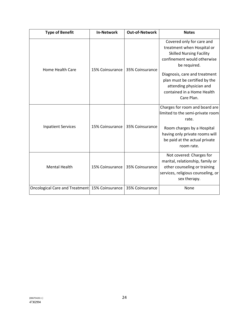| <b>Type of Benefit</b>                         | <b>In-Network</b> | <b>Out-of-Network</b> | <b>Notes</b>                                                                                                                                                                                                                                                                       |
|------------------------------------------------|-------------------|-----------------------|------------------------------------------------------------------------------------------------------------------------------------------------------------------------------------------------------------------------------------------------------------------------------------|
| <b>Home Health Care</b>                        | 15% Coinsurance   | 35% Coinsurance       | Covered only for care and<br>treatment when Hospital or<br><b>Skilled Nursing Facility</b><br>confinement would otherwise<br>be required.<br>Diagnosis, care and treatment<br>plan must be certified by the<br>attending physician and<br>contained in a Home Health<br>Care Plan. |
| <b>Inpatient Services</b>                      | 15% Coinsurance   | 35% Coinsurance       | Charges for room and board are<br>limited to the semi-private room<br>rate.<br>Room charges by a Hospital<br>having only private rooms will<br>be paid at the actual private<br>room rate.                                                                                         |
| <b>Mental Health</b>                           | 15% Coinsurance   | 35% Coinsurance       | Not covered: Charges for<br>marital, relationship, family or<br>other counseling or training<br>services, religious counseling, or<br>sex therapy.                                                                                                                                 |
| Oncological Care and Treatment 15% Coinsurance |                   | 35% Coinsurance       | None                                                                                                                                                                                                                                                                               |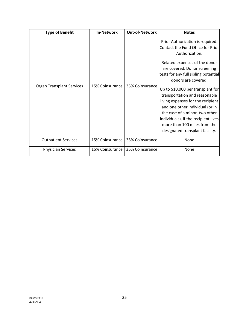| <b>Type of Benefit</b>           | <b>In-Network</b> | <b>Out-of-Network</b> | <b>Notes</b>                                                                                                                                                                                                                                                                                                                                                                                                                                                                                                       |
|----------------------------------|-------------------|-----------------------|--------------------------------------------------------------------------------------------------------------------------------------------------------------------------------------------------------------------------------------------------------------------------------------------------------------------------------------------------------------------------------------------------------------------------------------------------------------------------------------------------------------------|
| <b>Organ Transplant Services</b> | 15% Coinsurance   | 35% Coinsurance       | Prior Authorization is required.<br>Contact the Fund Office for Prior<br>Authorization.<br>Related expenses of the donor<br>are covered. Donor screening<br>tests for any full sibling potential<br>donors are covered.<br>Up to \$10,000 per transplant for<br>transportation and reasonable<br>living expenses for the recipient<br>and one other individual (or in<br>the case of a minor, two other<br>individuals), if the recipient lives<br>more than 100 miles from the<br>designated transplant facility. |
| <b>Outpatient Services</b>       | 15% Coinsurance   | 35% Coinsurance       | None                                                                                                                                                                                                                                                                                                                                                                                                                                                                                                               |
| <b>Physician Services</b>        | 15% Coinsurance   | 35% Coinsurance       | None                                                                                                                                                                                                                                                                                                                                                                                                                                                                                                               |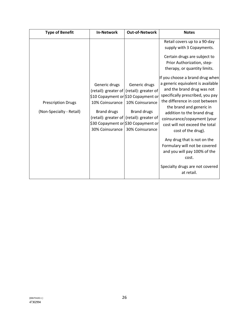| <b>Type of Benefit</b>                                | <b>In-Network</b>                                                         | <b>Out-of-Network</b>                                                                                                                                                                                                                                         | <b>Notes</b>                                                                                                                                                                                                                                                                                                                                                                                                                                                                                                                                                                                                                                   |
|-------------------------------------------------------|---------------------------------------------------------------------------|---------------------------------------------------------------------------------------------------------------------------------------------------------------------------------------------------------------------------------------------------------------|------------------------------------------------------------------------------------------------------------------------------------------------------------------------------------------------------------------------------------------------------------------------------------------------------------------------------------------------------------------------------------------------------------------------------------------------------------------------------------------------------------------------------------------------------------------------------------------------------------------------------------------------|
| <b>Prescription Drugs</b><br>(Non-Specialty - Retail) | Generic drugs<br>10% Coinsurance<br><b>Brand drugs</b><br>30% Coinsurance | Generic drugs<br>(retail): greater of $ $ (retail): greater of $ $<br>\$10 Copayment or \$10 Copayment or<br>10% Coinsurance<br><b>Brand drugs</b><br>(retail): greater of $ $ (retail): greater of<br>\$30 Copayment or \$30 Copayment or<br>30% Coinsurance | Retail covers up to a 90-day<br>supply with 3 Copayments.<br>Certain drugs are subject to<br>Prior Authorization, step-<br>therapy, or quantity limits.<br>If you choose a brand drug when<br>a generic equivalent is available<br>and the brand drug was not<br>specifically prescribed, you pay<br>the difference in cost between<br>the brand and generic in<br>addition to the brand drug<br>coinsurance/copayment (your<br>cost will not exceed the total<br>cost of the drug).<br>Any drug that is not on the<br>Formulary will not be covered<br>and you will pay 100% of the<br>cost.<br>Specialty drugs are not covered<br>at retail. |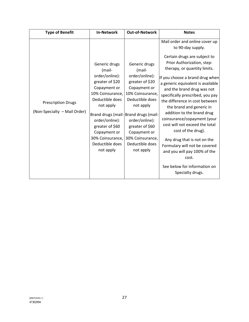| <b>Type of Benefit</b>                                    | <b>In-Network</b>                                                                                                                                                                                                                         | <b>Out-of-Network</b>                                                                                                                                                                                                                                                             | <b>Notes</b>                                                                                                                                                                                                                                                                                                                                                                                                                                                                                                                                                                                                                                |
|-----------------------------------------------------------|-------------------------------------------------------------------------------------------------------------------------------------------------------------------------------------------------------------------------------------------|-----------------------------------------------------------------------------------------------------------------------------------------------------------------------------------------------------------------------------------------------------------------------------------|---------------------------------------------------------------------------------------------------------------------------------------------------------------------------------------------------------------------------------------------------------------------------------------------------------------------------------------------------------------------------------------------------------------------------------------------------------------------------------------------------------------------------------------------------------------------------------------------------------------------------------------------|
| <b>Prescription Drugs</b><br>(Non-Specialty - Mail Order) | Generic drugs<br>(mail-<br>order/online):<br>greater of \$20<br>Copayment or<br>10% Coinsurance,<br>Deductible does<br>not apply<br>order/online):<br>greater of \$60<br>Copayment or<br>30% Coinsurance,<br>Deductible does<br>not apply | Generic drugs<br>(mail-<br>order/online):<br>greater of \$20<br>Copayment or<br>10% Coinsurance,<br>Deductible does<br>not apply<br>Brand drugs (mail-Brand drugs (mail-<br>order/online):<br>greater of \$60<br>Copayment or<br>30% Coinsurance,<br>Deductible does<br>not apply | Mail order and online cover up<br>to 90-day supply.<br>Certain drugs are subject to<br>Prior Authorization, step-<br>therapy, or quantity limits.<br>If you choose a brand drug when<br>a generic equivalent is available<br>and the brand drug was not<br>specifically prescribed, you pay<br>the difference in cost between<br>the brand and generic in<br>addition to the brand drug<br>coinsurance/copayment (your<br>cost will not exceed the total<br>cost of the drug).<br>Any drug that is not on the<br>Formulary will not be covered<br>and you will pay 100% of the<br>cost.<br>See below for information on<br>Specialty drugs. |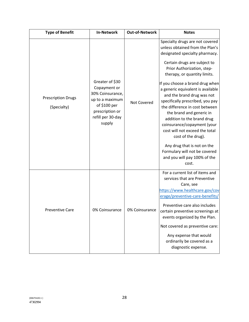| <b>Type of Benefit</b>                   | <b>In-Network</b>                                                                                                                        | <b>Out-of-Network</b> | <b>Notes</b>                                                                                                                                                                                                                                                                                                                                                                                                                                                                                                                                                                                                                             |
|------------------------------------------|------------------------------------------------------------------------------------------------------------------------------------------|-----------------------|------------------------------------------------------------------------------------------------------------------------------------------------------------------------------------------------------------------------------------------------------------------------------------------------------------------------------------------------------------------------------------------------------------------------------------------------------------------------------------------------------------------------------------------------------------------------------------------------------------------------------------------|
| <b>Prescription Drugs</b><br>(Specialty) | Greater of \$30<br>Copayment or<br>30% Coinsurance,<br>up to a maximum<br>of \$100 per<br>prescription or<br>refill per 30-day<br>supply | Not Covered           | Specialty drugs are not covered<br>unless obtained from the Plan's<br>designated specialty pharmacy.<br>Certain drugs are subject to<br>Prior Authorization, step-<br>therapy, or quantity limits.<br>If you choose a brand drug when<br>a generic equivalent is available<br>and the brand drug was not<br>specifically prescribed, you pay<br>the difference in cost between<br>the brand and generic in<br>addition to the brand drug<br>coinsurance/copayment (your<br>cost will not exceed the total<br>cost of the drug).<br>Any drug that is not on the<br>Formulary will not be covered<br>and you will pay 100% of the<br>cost. |
| <b>Preventive Care</b>                   | 0% Coinsurance                                                                                                                           | 0% Coinsurance        | For a current list of items and<br>services that are Preventive<br>Care, see<br>https://www.healthcare.gov/cov<br>erage/preventive-care-benefits/<br>Preventive care also includes<br>certain preventive screenings at<br>events organized by the Plan.<br>Not covered as preventive care:<br>Any expense that would<br>ordinarily be covered as a<br>diagnostic expense.                                                                                                                                                                                                                                                                |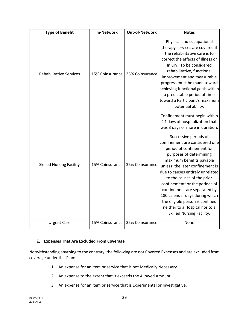| <b>Type of Benefit</b>          | <b>In-Network</b> | <b>Out-of-Network</b> | <b>Notes</b>                                                                                                                                                                                                                                                                                                                                                                                                                                                                                                                                                   |
|---------------------------------|-------------------|-----------------------|----------------------------------------------------------------------------------------------------------------------------------------------------------------------------------------------------------------------------------------------------------------------------------------------------------------------------------------------------------------------------------------------------------------------------------------------------------------------------------------------------------------------------------------------------------------|
| <b>Rehabilitative Services</b>  | 15% Coinsurance   | 35% Coinsurance       | Physical and occupational<br>therapy services are covered if<br>the rehabilitative care is to<br>correct the effects of Illness or<br>Injury. To be considered<br>rehabilitative, functional<br>improvement and measurable<br>progress must be made toward<br>achieving functional goals within<br>a predictable period of time<br>toward a Participant's maximum<br>potential ability.                                                                                                                                                                        |
| <b>Skilled Nursing Facility</b> | 15% Coinsurance   | 35% Coinsurance       | Confinement must begin within<br>14 days of hospitalization that<br>was 3 days or more in duration.<br>Successive periods of<br>confinement are considered one<br>period of confinement for<br>purposes of determining<br>maximum benefits payable<br>unless: the later confinement is<br>due to causes entirely unrelated<br>to the causes of the prior<br>confinement; or the periods of<br>confinement are separated by<br>180 calendar days during which<br>the eligible person is confined<br>neither to a Hospital nor to a<br>Skilled Nursing Facility. |
| <b>Urgent Care</b>              | 15% Coinsurance   | 35% Coinsurance       | None                                                                                                                                                                                                                                                                                                                                                                                                                                                                                                                                                           |

#### **Expenses That Are Excluded From Coverage**

Notwithstanding anything to the contrary, the following are not Covered Expenses and are excluded from coverage under this Plan:

- 1. An expense for an item or service that is not Medically Necessary.
- 2. An expense to the extent that it exceeds the Allowed Amount.
- 3. An expense for an item or service that is Experimental or Investigative.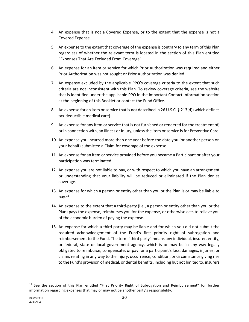- 4. An expense that is not a Covered Expense, or to the extent that the expense is not a Covered Expense.
- 5. An expense to the extent that coverage of the expense is contrary to any term of this Plan regardless of whether the relevant term is located in the section of this Plan entitled "Expenses That Are Excluded From Coverage".
- 6. An expense for an item or service for which Prior Authorization was required and either Prior Authorization was not sought or Prior Authorization was denied.
- 7. An expense excluded by the applicable PPO's coverage criteria to the extent that such criteria are not inconsistent with this Plan. To review coverage criteria, see the website that is identified under the applicable PPO in the Important Contact Information section at the beginning of this Booklet or contact the Fund Office.
- 8. An expense for an item or service that is not described in 26 U.S.C. § 213(d) (which defines tax-deductible medical care).
- 9. An expense for any item or service that is not furnished or rendered for the treatment of, or in connection with, an Illness or Injury, unless the item or service is for Preventive Care.
- 10. An expense you incurred more than one year before the date you (or another person on your behalf) submitted a Claim for coverage of the expense.
- 11. An expense for an item or service provided before you became a Participant or after your participation was terminated.
- 12. An expense you are not liable to pay, or with respect to which you have an arrangement or understanding that your liability will be reduced or eliminated if the Plan denies coverage.
- 13. An expense for which a person or entity other than you or the Plan is or may be liable to pay.13
- 14. An expense to the extent that a third-party (i.e., a person or entity other than you or the Plan) pays the expense, reimburses you for the expense, or otherwise acts to relieve you of the economic burden of paying the expense.
- 15. An expense for which a third party may be liable and for which you did not submit the required acknowledgement of the Fund's first priority right of subrogation and reimbursement to the Fund. The term "third party" means any individual, insurer, entity, or federal, state or local government agency, which is or may be in any way legally obligated to reimburse, compensate, or pay for a participant's loss, damages, injuries, or claims relating in any way to the injury, occurrence, condition, or circumstance giving rise to the Fund's provision of medical, or dental benefits, including but not limited to, insurers

<sup>&</sup>lt;sup>13</sup> See the section of this Plan entitled "First Priority Right of Subrogation and Reimbursement" for further information regarding expenses that may or may not be another party's responsibility.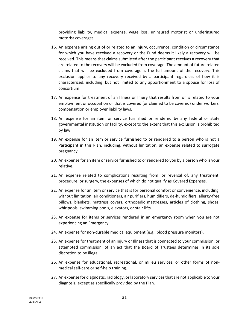providing liability, medical expense, wage loss, uninsured motorist or underinsured motorist coverages.

- 16. An expense arising out of or related to an injury, occurrence, condition or circumstance for which you have received a recovery or the Fund deems it likely a recovery will be received. This means that claims submitted after the participant receives a recovery that are related to the recovery will be excluded from coverage. The amount of future related claims that will be excluded from coverage is the full amount of the recovery. This exclusion applies to any recovery received by a participant regardless of how it is characterized, including, but not limited to any apportionment to a spouse for loss of consortium
- 17. An expense for treatment of an Illness or Injury that results from or is related to your employment or occupation or that is covered (or claimed to be covered) under workers' compensation or employer liability laws.
- 18. An expense for an item or service furnished or rendered by any federal or state governmental institution or facility, except to the extent that this exclusion is prohibited by law.
- 19. An expense for an item or service furnished to or rendered to a person who is not a Participant in this Plan, including, without limitation, an expense related to surrogate pregnancy.
- 20. An expense for an item or service furnished to or rendered to you by a person who is your relative.
- 21. An expense related to complications resulting from, or reversal of, any treatment, procedure, or surgery, the expenses of which do not qualify as Covered Expenses.
- 22. An expense for an item or service that is for personal comfort or convenience, including, without limitation: air conditioners, air purifiers, humidifiers, de-humidifiers, allergy-free pillows, blankets, mattress covers, orthopedic mattresses, articles of clothing, shoes, whirlpools, swimming pools, elevators, or stair lifts.
- 23. An expense for items or services rendered in an emergency room when you are not experiencing an Emergency.
- 24. An expense for non-durable medical equipment (e.g., blood pressure monitors).
- 25. An expense for treatment of an Injury or Illness that is connected to your commission, or attempted commission, of an act that the Board of Trustees determines in its sole discretion to be illegal.
- 26. An expense for educational, recreational, or milieu services, or other forms of nonmedical self-care or self-help training.
- 27. An expense for diagnostic, radiology, or laboratory services that are not applicable to your diagnosis, except as specifically provided by the Plan.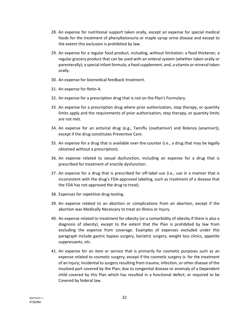- 28. An expense for nutritional support taken orally, except an expense for special medical foods for the treatment of phenylketonuria or maple syrup urine disease and except to the extent this exclusion is prohibited by law.
- 29. An expense for a regular food product, including, without limitation: a food thickener; a regular grocery product that can be used with an enteral system (whether taken orally or parenterally); a special infant formula; a food supplement; and, a vitamin or mineral taken orally.
- 30. An expense for biomedical feedback treatment.
- 31. An expense for Retin-A.
- 32. An expense for a prescription drug that is not on the Plan's Formulary.
- 33. An expense for a prescription drug where prior authorization, step therapy, or quantity limits apply and the requirements of prior authorization, step therapy, or quantity limits are not met.
- 34. An expense for an antiviral drug (e.g., Tamiflu (oseltamivir) and Relenza (anamivir)), except if the drug constitutes Preventive Care.
- 35. An expense for a drug that is available over-the-counter (i.e., a drug that may be legally obtained without a prescription).
- 36. An expense related to sexual dysfunction, including an expense for a drug that is prescribed for treatment of erectile dysfunction.
- 37. An expense for a drug that is prescribed for off-label use (i.e., use in a manner that is inconsistent with the drug's FDA-approved labeling, such as treatment of a disease that the FDA has not approved the drug to treat).
- 38. Expenses for repetitive drug testing.
- 39. An expense related to an abortion or complications from an abortion, except if the abortion was Medically Necessary to treat an Illness or Injury.
- 40. An expense related to treatment for obesity (or a comorbidity of obesity if there is also a diagnosis of obesity), except to the extent that the Plan is prohibited by law from excluding the expense from coverage. Examples of expenses excluded under this paragraph include gastric bypass surgery, bariatric surgery, weight loss clinics, appetite suppressants, etc.
- 41. An expense for an item or service that is primarily for cosmetic purposes such as an expense related to cosmetic surgery, except if the cosmetic surgery is: for the treatment of an Injury; incidental to surgery resulting from trauma, infection, or other disease of the involved part covered by the Plan; due to congenital disease or anomaly of a Dependent child covered by this Plan which has resulted in a functional defect; or required to be Covered by federal law.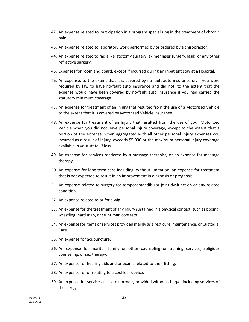- 42. An expense related to participation in a program specializing in the treatment of chronic pain.
- 43. An expense related to laboratory work performed by or ordered by a chiropractor.
- 44. An expense related to radial keratotomy surgery, eximer laser surgery, lasik, or any other refractive surgery.
- 45. Expenses for room and board, except if incurred during an inpatient stay at a Hospital.
- 46. An expense, to the extent that it is covered by no-fault auto insurance or, if you were required by law to have no-fault auto insurance and did not, to the extent that the expense would have been covered by no-fault auto insurance if you had carried the statutory minimum coverage.
- 47. An expense for treatment of an Injury that resulted from the use of a Motorized Vehicle to the extent that it is covered by Motorized Vehicle insurance.
- 48. An expense for treatment of an Injury that resulted from the use of your Motorized Vehicle when you did not have personal injury coverage, except to the extent that a portion of the expense, when aggregated with all other personal injury expenses you incurred as a result of Injury, exceeds \$5,000 or the maximum personal injury coverage available in your state, if less.
- 49. An expense for services rendered by a massage therapist, or an expense for massage therapy.
- 50. An expense for long-term care including, without limitation, an expense for treatment that is not expected to result in an improvement in diagnosis or prognosis.
- 51. An expense related to surgery for temporomandibular joint dysfunction or any related condition.
- 52. An expense related to or for a wig.
- 53. An expense for the treatment of any Injury sustained in a physical contest, such as boxing, wrestling, hard man, or stunt man contests.
- 54. An expense for items or services provided mainly as a rest cure, maintenance, or Custodial Care.
- 55. An expense for acupuncture.
- 56. An expense for marital, family or other counseling or training services, religious counseling, or sex therapy.
- 57. An expense for hearing aids and or exams related to their fitting.
- 58. An expense for or relating to a cochlear device.
- 59. An expense for services that are normally provided without charge, including services of the clergy.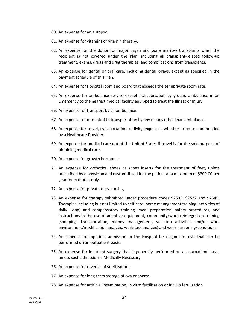- 60. An expense for an autopsy.
- 61. An expense for vitamins or vitamin therapy.
- 62. An expense for the donor for major organ and bone marrow transplants when the recipient is not covered under the Plan; including all transplant-related follow-up treatment, exams, drugs and drug therapies, and complications from transplants.
- 63. An expense for dental or oral care, including dental x-rays, except as specified in the payment schedule of this Plan.
- 64. An expense for Hospital room and board that exceeds the semiprivate room rate.
- 65. An expense for ambulance service except transportation by ground ambulance in an Emergency to the nearest medical facility equipped to treat the Illness or Injury.
- 66. An expense for transport by air ambulance.
- 67. An expense for or related to transportation by any means other than ambulance.
- 68. An expense for travel, transportation, or living expenses, whether or not recommended by a Healthcare Provider.
- 69. An expense for medical care out of the United States if travel is for the sole purpose of obtaining medical care.
- 70. An expense for growth hormones.
- 71. An expense for orthotics, shoes or shoes inserts for the treatment of feet, unless prescribed by a physician and custom-fitted for the patient at a maximum of \$300.00 per year for orthotics only.
- 72. An expense for private-duty nursing.
- 73. An expense for therapy submitted under procedure codes 97535, 97537 and 97545. Therapies including but not limited to self-care, home management training (activities of daily living) and compensatory training, meal preparation, safety procedures, and instructions in the use of adaptive equipment; community/work reintegration training (shopping, transportation, money management, vocation activities and/or work environment/modification analysis, work task analysis) and work hardening/conditions.
- 74. An expense for inpatient admission to the Hospital for diagnostic tests that can be performed on an outpatient basis.
- 75. An expense for inpatient surgery that is generally performed on an outpatient basis, unless such admission is Medically Necessary.
- 76. An expense for reversal of sterilization.
- 77. An expense for long-term storage of ova or sperm.
- 78. An expense for artificial insemination, in vitro fertilization or in vivo fertilization.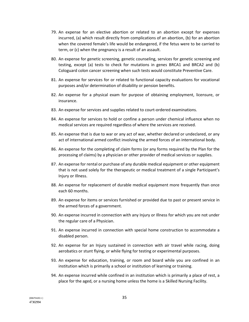- 79. An expense for an elective abortion or related to an abortion except for expenses incurred, (a) which result directly from complications of an abortion, (b) for an abortion when the covered female's life would be endangered, if the fetus were to be carried to term, or (c) when the pregnancy is a result of an assault.
- 80. An expense for genetic screening, genetic counseling, services for genetic screening and testing, except (a) tests to check for mutations in genes BRCA1 and BRCA2 and (b) Cologuard colon cancer screening when such tests would constitute Preventive Care.
- 81. An expense for services for or related to functional capacity evaluations for vocational purposes and/or determination of disability or pension benefits.
- 82. An expense for a physical exam for purpose of obtaining employment, licensure, or insurance.
- 83. An expense for services and supplies related to court-ordered examinations.
- 84. An expense for services to hold or confine a person under chemical influence when no medical services are required regardless of where the services are received.
- 85. An expense that is due to war or any act of war, whether declared or undeclared, or any act of international armed conflict involving the armed forces of an international body.
- 86. An expense for the completing of claim forms (or any forms required by the Plan for the processing of claims) by a physician or other provider of medical services or supplies.
- 87. An expense for rental or purchase of any durable medical equipment or other equipment that is not used solely for the therapeutic or medical treatment of a single Participant's Injury or Illness.
- 88. An expense for replacement of durable medical equipment more frequently than once each 60 months.
- 89. An expense for items or services furnished or provided due to past or present service in the armed forces of a government.
- 90. An expense incurred in connection with any Injury or Illness for which you are not under the regular care of a Physician.
- 91. An expense incurred in connection with special home construction to accommodate a disabled person.
- 92. An expense for an Injury sustained in connection with air travel while racing, doing aerobatics or stunt flying, or while flying for testing or experimental purposes.
- 93. An expense for education, training, or room and board while you are confined in an institution which is primarily a school or institution of learning or training.
- 94. An expense incurred while confined in an institution which is primarily a place of rest, a place for the aged, or a nursing home unless the home is a Skilled Nursing Facility.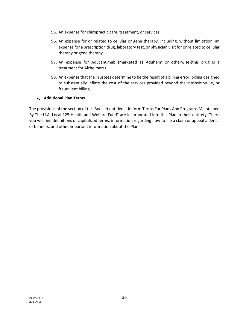- 95. An expense for chiropractic care, treatment, or services.
- 96. An expense for or related to cellular or gene therapy, including, without limitation, an expense for a prescription drug, laboratory test, or physician visit for or related to cellular therapy or gene therapy.
- 97. An expense for Aducanumab (marketed as Aduhelm or otherwise)(this drug is a treatment for Alzheimers).
- 98. An expense that the Trustees determine to be the result of a billing error, billing designed to substantially inflate the cost of the services provided beyond the intrinsic value, or fraudulent billing.

#### **Additional Plan Terms**

The provisions of the section of this Booklet entitled "Uniform Terms For Plans And Programs Maintained By The U.A. Local 125 Health and Welfare Fund" are incorporated into this Plan in their entirety. There you will find definitions of capitalized terms, information regarding how to file a claim or appeal a denial of benefits, and other important information about the Plan.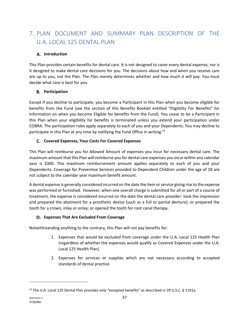# 7. PLAN DOCUMENT AND SUMMARY PLAN DESCRIPTION OF THE U.A. LOCAL 125 DENTAL PLAN

# **Introduction**

This Plan provides certain benefits for dental care. It is not designed to cover every dental expense, nor is it designed to make dental care decisions for you. The decisions about how and when you receive care are up to you, not the Plan. The Plan merely determines whether and how much it will pay. You must decide what care is best for you.

## **Participation**

Except if you decline to participate, you become a Participant in this Plan when you become eligible for benefits from the Fund (see the section of this Benefits Booklet entitled "Eligibility For Benefits" for information on when you become Eligible for benefits from the Fund). You cease to be a Participant in this Plan when your eligibility for benefits is terminated unless you extend your participation under COBRA. The participation rules apply separately to each of you and your Dependents. You may decline to participate in this Plan at any time by notifying the Fund Office in writing.<sup>14</sup>

# **C.** Covered Expenses, Your Costs For Covered Expenses

This Plan will reimburse you for Allowed Amount of expenses you incur for necessary dental care. The maximum amount that this Plan will reimburse you for dental care expenses you incur within any calendar year is \$300. This maximum reimbursement amount applies separately to each of you and your Dependents. Coverage for Preventive Services provided to Dependent Children under the age of 18 are not subject to the calendar year maximum benefit amount.

A dental expense is generally considered incurred on the date the item or service giving rise to the expense was performed or furnished. However, when one overall charge is submitted for all or part of a course of treatment, the expense is considered incurred on the date the dental care provider: took the impression and prepared the abutment for a prosthetic device (such as a full or partial denture); or prepared the tooth for a crown, inlay or onlay; or opened the tooth for root canal therapy.

## **Expenses That Are Excluded From Coverage**

Notwithstanding anything to the contrary, this Plan will not pay benefits for:

- 1. Expenses that would be excluded from coverage under the U.A. Local 125 Health Plan (regardless of whether the expenses would qualify as Covered Expenses under the U.A. Local 125 Health Plan).
- 2. Expenses for services or supplies which are not necessary according to accepted standards of dental practice.

<sup>&</sup>lt;sup>14</sup> The U.A. Local 125 Dental Plan provides only "excepted benefits" as described in 29 U.S.C. § 1191a.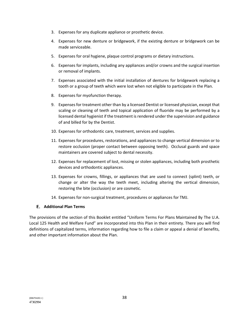- 3. Expenses for any duplicate appliance or prosthetic device.
- 4. Expenses for new denture or bridgework, if the existing denture or bridgework can be made serviceable.
- 5. Expenses for oral hygiene, plaque control programs or dietary instructions.
- 6. Expenses for implants, including any appliances and/or crowns and the surgical insertion or removal of implants.
- 7. Expenses associated with the initial installation of dentures for bridgework replacing a tooth or a group of teeth which were lost when not eligible to participate in the Plan.
- 8. Expenses for myofunction therapy.
- 9. Expenses for treatment other than by a licensed Dentist or licensed physician, except that scaling or cleaning of teeth and topical application of fluoride may be performed by a licensed dental hygienist if the treatment is rendered under the supervision and guidance of and billed for by the Dentist.
- 10. Expenses for orthodontic care, treatment, services and supplies.
- 11. Expenses for procedures, restorations, and appliances to change vertical dimension or to restore occlusion (proper contact between opposing teeth). Occlusal guards and space maintainers are covered subject to dental necessity.
- 12. Expenses for replacement of lost, missing or stolen appliances, including both prosthetic devices and orthodontic appliances.
- 13. Expenses for crowns, fillings, or appliances that are used to connect (splint) teeth, or change or alter the way the teeth meet, including altering the vertical dimension, restoring the bite (occlusion) or are cosmetic.
- 14. Expenses for non-surgical treatment, procedures or appliances for TMJ.

## **Additional Plan Terms**

The provisions of the section of this Booklet entitled "Uniform Terms For Plans Maintained By The U.A. Local 125 Health and Welfare Fund" are incorporated into this Plan in their entirety. There you will find definitions of capitalized terms, information regarding how to file a claim or appeal a denial of benefits, and other important information about the Plan.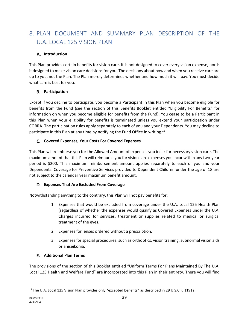# 8. PLAN DOCUMENT AND SUMMARY PLAN DESCRIPTION OF THE U.A. LOCAL 125 VISION PLAN

# **Introduction**

This Plan provides certain benefits for vision care. It is not designed to cover every vision expense, nor is it designed to make vision care decisions for you. The decisions about how and when you receive care are up to you, not the Plan. The Plan merely determines whether and how much it will pay. You must decide what care is best for you.

## **Participation**

Except if you decline to participate, you become a Participant in this Plan when you become eligible for benefits from the Fund (see the section of this Benefits Booklet entitled "Eligibility For Benefits" for information on when you become eligible for benefits from the Fund). You cease to be a Participant in this Plan when your eligibility for benefits is terminated unless you extend your participation under COBRA. The participation rules apply separately to each of you and your Dependents. You may decline to participate in this Plan at any time by notifying the Fund Office in writing.<sup>15</sup>

# **C.** Covered Expenses, Your Costs For Covered Expenses

This Plan will reimburse you for the Allowed Amount of expenses you incur for necessary vision care. The maximum amount that this Plan will reimburse you for vision care expenses you incur within any two-year period is \$200. This maximum reimbursement amount applies separately to each of you and your Dependents. Coverage for Preventive Services provided to Dependent Children under the age of 18 are not subject to the calendar year maximum benefit amount.

# **Expenses That Are Excluded From Coverage**

Notwithstanding anything to the contrary, this Plan will not pay benefits for:

- 1. Expenses that would be excluded from coverage under the U.A. Local 125 Health Plan (regardless of whether the expenses would qualify as Covered Expenses under the U.A. Charges incurred for services, treatment or supplies related to medical or surgical treatment of the eyes.
- 2. Expenses for lenses ordered without a prescription.
- 3. Expenses for special procedures, such as orthoptics, vision training, subnormal vision aids or aniseikonia.

## **Additional Plan Terms**

The provisions of the section of this Booklet entitled "Uniform Terms For Plans Maintained By The U.A. Local 125 Health and Welfare Fund" are incorporated into this Plan in their entirety. There you will find

<sup>&</sup>lt;sup>15</sup> The U.A. Local 125 Vision Plan provides only "excepted benefits" as described in 29 U.S.C. § 1191a.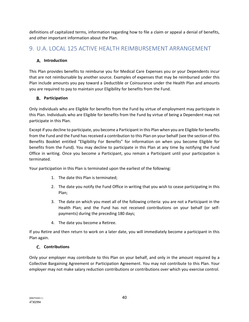definitions of capitalized terms, information regarding how to file a claim or appeal a denial of benefits, and other important information about the Plan.

# 9. U.A. LOCAL 125 ACTIVE HEALTH REIMBURSEMENT ARRANGEMENT

# **Introduction**

This Plan provides benefits to reimburse you for Medical Care Expenses you or your Dependents incur that are not reimbursable by another source. Examples of expenses that may be reimbursed under this Plan include amounts you pay toward a Deductible or Coinsurance under the Health Plan and amounts you are required to pay to maintain your Eligibility for benefits from the Fund.

# **Participation**

Only individuals who are Eligible for benefits from the Fund by virtue of employment may participate in this Plan. Individuals who are Eligible for benefits from the Fund by virtue of being a Dependent may not participate in this Plan.

Except if you decline to participate, you become a Participant in this Plan when you are Eligible for benefits from the Fund and the Fund has received a contribution to this Plan on your behalf (see the section of this Benefits Booklet entitled "Eligibility For Benefits" for information on when you become Eligible for benefits from the Fund). You may decline to participate in this Plan at any time by notifying the Fund Office in writing. Once you become a Participant, you remain a Participant until your participation is terminated.

Your participation in this Plan is terminated upon the earliest of the following:

- 1. The date this Plan is terminated;
- 2. The date you notify the Fund Office in writing that you wish to cease participating in this Plan;
- 3. The date on which you meet all of the following criteria: you are not a Participant in the Health Plan; and the Fund has not received contributions on your behalf (or selfpayments) during the preceding 180 days;
- 4. The date you become a Retiree.

If you Retire and then return to work on a later date, you will immediately become a participant in this Plan again.

# **C.** Contributions

Only your employer may contribute to this Plan on your behalf, and only in the amount required by a Collective Bargaining Agreement or Participation Agreement. You may not contribute to this Plan. Your employer may not make salary reduction contributions or contributions over which you exercise control.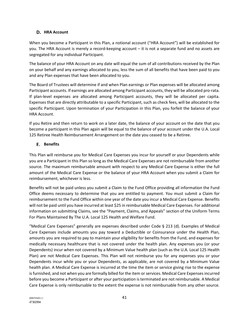# **HRA Account**

When you become a Participant in this Plan, a notional account ("HRA Account") will be established for you. The HRA Account is merely a record-keeping account – it is not a separate fund and no assets are segregated for any individual Participant.

The balance of your HRA Account on any date will equal the sum of all contributions received by the Plan on your behalf and any earnings allocated to you, less the sum of all benefits that have been paid to you and any Plan expenses that have been allocated to you.

The Board of Trustees will determine if and when Plan earnings or Plan expenses will be allocated among Participant accounts. If earnings are allocated among Participant accounts, they will be allocated pro-rata. If plan-level expenses are allocated among Participant accounts, they will be allocated per capita. Expenses that are directly attributable to a specific Participant, such as check fees, will be allocated to the specific Participant. Upon termination of your Participation in this Plan, you forfeit the balance of your HRA Account.

If you Retire and then return to work on a later date, the balance of your account on the date that you become a participant in this Plan again will be equal to the balance of your account under the U.A. Local 125 Retiree Health Reimbursement Arrangement on the date you ceased to be a Retiree.

# **Benefits**

This Plan will reimburse you for Medical Care Expenses you incur for yourself or your Dependents while you are a Participant in this Plan so long as the Medical Care Expenses are not reimbursable from another source. The maximum reimbursable amount with respect to any Medical Care Expense is either the full amount of the Medical Care Expense or the balance of your HRA Account when you submit a Claim for reimbursement, whichever is less.

Benefits will not be paid unless you submit a Claim to the Fund Office providing all information the Fund Office deems necessary to determine that you are entitled to payment. You must submit a Claim for reimbursement to the Fund Office within one year of the date you incur a Medical Care Expense. Benefits will not be paid until you have incurred at least \$25 in reimbursable Medical Care Expenses. For additional information on submitting Claims, see the "Payment, Claims, and Appeals" section of the Uniform Terms For Plans Maintained By The U.A. Local 125 Health and Welfare Fund.

"Medical Care Expenses" generally are expenses described under Code § 213 (d). Examples of Medical Care Expenses include amounts you pay toward a Deductible or Coinsurance under the Health Plan, amounts you are required to pay to maintain your eligibility for benefits from the Fund, and expenses for medically necessary healthcare that is not covered under the health plan. Any expenses you (or your Dependents) incur when not covered by a Minimum Value health plan (such as the U.A. Local 125 Health Plan) are not Medical Care Expenses. This Plan will not reimburse you for any expenses you or your Dependents incur while you or your Dependents, as applicable, are not covered by a Minimum Value health plan. A Medical Care Expense is incurred at the time the item or service giving rise to the expense is furnished, and not when you are formally billed for the item or services. Medical Care Expenses incurred before you become a Participant or after your participation is terminated are not reimbursable. A Medical Care Expense is only reimbursable to the extent the expense is not reimbursable from any other source.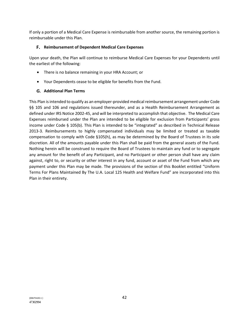If only a portion of a Medical Care Expense is reimbursable from another source, the remaining portion is reimbursable under this Plan.

## **Reimbursement of Dependent Medical Care Expenses**

Upon your death, the Plan will continue to reimburse Medical Care Expenses for your Dependents until the earliest of the following:

- There is no balance remaining in your HRA Account; or
- Your Dependents cease to be eligible for benefits from the Fund.

# **Additional Plan Terms**

This Plan is intended to qualify as an employer-provided medical reimbursement arrangement under Code §§ 105 and 106 and regulations issued thereunder, and as a Health Reimbursement Arrangement as defined under IRS Notice 2002-45, and will be interpreted to accomplish that objective. The Medical Care Expenses reimbursed under the Plan are intended to be eligible for exclusion from Participants' gross income under Code § 105(b). This Plan is intended to be "integrated" as described in Technical Release 2013-3. Reimbursements to highly compensated individuals may be limited or treated as taxable compensation to comply with Code §105(h), as may be determined by the Board of Trustees in its sole discretion. All of the amounts payable under this Plan shall be paid from the general assets of the Fund. Nothing herein will be construed to require the Board of Trustees to maintain any fund or to segregate any amount for the benefit of any Participant, and no Participant or other person shall have any claim against, right to, or security or other interest in any fund, account or asset of the Fund from which any payment under this Plan may be made. The provisions of the section of this Booklet entitled "Uniform Terms For Plans Maintained By The U.A. Local 125 Health and Welfare Fund" are incorporated into this Plan in their entirety.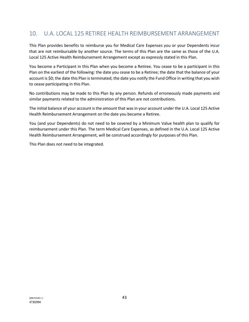# 10. U.A. LOCAL 125 RETIREE HEALTH REIMBURSEMENT ARRANGEMENT

This Plan provides benefits to reimburse you for Medical Care Expenses you or your Dependents incur that are not reimbursable by another source. The terms of this Plan are the same as those of the U.A. Local 125 Active Health Reimbursement Arrangement except as expressly stated in this Plan.

You become a Participant in this Plan when you become a Retiree. You cease to be a participant in this Plan on the earliest of the following: the date you cease to be a Retiree; the date that the balance of your account is \$0; the date this Plan is terminated; the date you notify the Fund Office in writing that you wish to cease participating in this Plan.

No contributions may be made to this Plan by any person. Refunds of erroneously made payments and similar payments related to the administration of this Plan are not contributions.

The initial balance of your account is the amount that was in your account under the U.A. Local 125 Active Health Reimbursement Arrangement on the date you became a Retiree.

You (and your Dependents) do not need to be covered by a Minimum Value health plan to qualify for reimbursement under this Plan. The term Medical Care Expenses, as defined in the U.A. Local 125 Active Health Reimbursement Arrangement, will be construed accordingly for purposes of this Plan.

This Plan does not need to be integrated.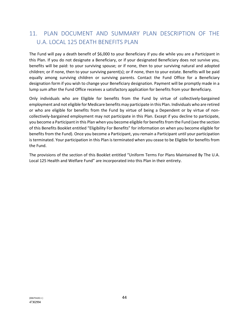# 11. PLAN DOCUMENT AND SUMMARY PLAN DESCRIPTION OF THE U.A. LOCAL 125 DEATH BENEFITS PLAN

The Fund will pay a death benefit of \$6,000 to your Beneficiary if you die while you are a Participant in this Plan. If you do not designate a Beneficiary, or if your designated Beneficiary does not survive you, benefits will be paid: to your surviving spouse; or if none, then to your surviving natural and adopted children; or if none, then to your surviving parent(s); or if none, then to your estate. Benefits will be paid equally among surviving children or surviving parents. Contact the Fund Office for a Beneficiary designation form if you wish to change your Beneficiary designation. Payment will be promptly made in a lump sum after the Fund Office receives a satisfactory application for benefits from your Beneficiary.

Only individuals who are Eligible for benefits from the Fund by virtue of collectively-bargained employment and not eligible for Medicare benefits may participate in this Plan. Individuals who are retired or who are eligible for benefits from the Fund by virtue of being a Dependent or by virtue of noncollectively-bargained employment may not participate in this Plan. Except if you decline to participate, you become a Participant in this Plan when you become eligible for benefits from the Fund (see the section of this Benefits Booklet entitled "Eligibility For Benefits" for information on when you become eligible for benefits from the Fund). Once you become a Participant, you remain a Participant until your participation is terminated. Your participation in this Plan is terminated when you cease to be Eligible for benefits from the Fund.

The provisions of the section of this Booklet entitled "Uniform Terms For Plans Maintained By The U.A. Local 125 Health and Welfare Fund" are incorporated into this Plan in their entirety.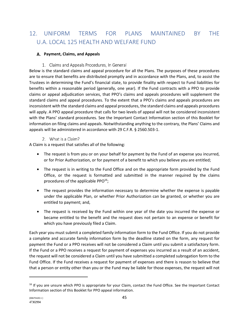# 12. UNIFORM TERMS FOR PLANS MAINTAINED BY THE U.A. LOCAL 125 HEALTH AND WELFARE FUND

## **Payment, Claims, and Appeals**

# 1. Claims and Appeals Procedures, In General

Below is the standard claims and appeal procedure for all the Plans. The purposes of these procedures are to ensure that benefits are distributed promptly and in accordance with the Plans, and, to assist the Trustees in determining the Fund's financial state, to provide finality with respect to Fund liabilities for benefits within a reasonable period (generally, one year). If the Fund contracts with a PPO to provide claims or appeal adjudication services, that PPO's claims and appeals procedures will supplement the standard claims and appeal procedures. To the extent that a PPO's claims and appeals procedures are inconsistent with the standard claims and appeal procedures, the standard claims and appeals procedures will apply. A PPO appeal procedure that calls for two levels of appeal will not be considered inconsistent with the Plans' standard procedures. See the Important Contact Information section of this Booklet for information on filing claims and appeals. Notwithstanding anything to the contrary, the Plans' Claims and appeals will be administered in accordance with 29 C.F.R. § 2560.503-1.

## 2. What is a Claim?

A Claim is a request that satisfies all of the following:

- The request is from you or on your behalf for payment by the Fund of an expense you incurred, or for Prior Authorization, or for payment of a benefit to which you believe you are entitled;
- The request is in writing to the Fund Office and on the appropriate form provided by the Fund Office, or the request is formatted and submitted in the manner required by the claims procedures of the applicable PPO<sup>16</sup>;
- The request provides the information necessary to determine whether the expense is payable under the applicable Plan, or whether Prior Authorization can be granted, or whether you are entitled to payment; and,
- The request is received by the Fund within one year of the date you incurred the expense or became entitled to the benefit and the request does not pertain to an expense or benefit for which you have previously filed a Claim.

Each year you must submit a completed family information form to the Fund Office. If you do not provide a complete and accurate family information form by the deadline stated on the form, any request for payment the Fund or a PPO receives will not be considered a Claim until you submit a satisfactory form. If the Fund or a PPO receives a request for payment of expenses you incurred as a result of an accident, the request will not be considered a Claim until you have submitted a completed subrogation form to the Fund Office. If the Fund receives a request for payment of expenses and there is reason to believe that that a person or entity other than you or the Fund may be liable for those expenses, the request will not

<sup>&</sup>lt;sup>16</sup> If you are unsure which PPO is appropriate for your Claim, contact the Fund Office. See the Important Contact Information section of this Booklet for PPO appeal information.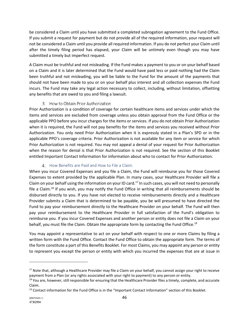be considered a Claim until you have submitted a completed subrogation agreement to the Fund Office. If you submit a request for payment but do not provide all of the required information, your request will not be considered a Claim until you provide all required information. If you do not perfect your Claim until after the timely filing period has elapsed, your Claim will be untimely even though you may have submitted a timely but imperfect request.

A Claim must be truthful and not misleading. If the Fund makes a payment to you or on your behalf based on a Claim and it is later determined that the Fund would have paid less or paid nothing had the Claim been truthful and not misleading, you will be liable to the Fund for the amount of the payments that should not have been made to you or on your behalf plus interest and all collection expenses the Fund incurs. The Fund may take any legal action necessary to collect, including, without limitation, offsetting any benefits that are owed to you and filing a lawsuit.

# 3. How to Obtain Prior Authorization

Prior Authorization is a condition of coverage for certain healthcare items and services under which the items and services are excluded from coverage unless you obtain approval from the Fund Office or the applicable PPO before you incur charges for the items or services. If you do not obtain Prior Authorization when it is required, the Fund will not pay benefits for the items and services you received without Prior Authorization. You only need Prior Authorization when it is expressly stated in a Plan's SPD or in the applicable PPO's coverage criteria. Prior Authorization is not available for any item or service for which Prior Authorization is not required. You may not appeal a denial of your request for Prior Authorization when the reason for denial is that Prior Authorization is not required. See the section of this Booklet entitled Important Contact Information for information about who to contact for Prior Authorization.

# 4. How Benefits are Paid and How to File a Claim.

When you incur Covered Expenses and you file a Claim, the Fund will reimburse you for those Covered Expenses to extent provided by the applicable Plan. In many cases, your Healthcare Provider will file a Claim on your behalf using the information on your ID card.17 In such cases, you will not need to personally file a Claim.<sup>18</sup> If you wish, you may notify the Fund Office in writing that all reimbursements should be disbursed directly to you. If you have not elected to receive reimbursements directly and a Healthcare Provider submits a Claim that is determined to be payable, you be will presumed to have directed the Fund to pay your reimbursement directly to the Healthcare Provider on your behalf. The Fund will then pay your reimbursement to the Healthcare Provider in full satisfaction of the Fund's obligation to reimburse you. If you incur Covered Expenses and another person or entity does not file a Claim on your behalf, you must file the Claim. Obtain the appropriate form by contacting the Fund Office.<sup>19</sup>

You may appoint a representative to act on your behalf with respect to one or more Claims by filing a written form with the Fund Office. Contact the Fund Office to obtain the appropriate form. The terms of the form constitute a part of this Benefits Booklet. For most Claims, you may appoint any person or entity to represent you except the person or entity with which you incurred the expenses that are at issue in

<sup>&</sup>lt;sup>17</sup> Note that, although a Healthcare Provider may file a Claim on your behalf, you cannot assign your right to receive payment from a Plan (or any rights associated with your right to payment) to any person or entity.<br><sup>18</sup> You are, however, still responsible for ensuring that the Healthcare Provider files a timely, complete, and accurate

Claim.

<sup>&</sup>lt;sup>19</sup> Contact information for the Fund Office is in the "Important Contact Information" section of this Booklet.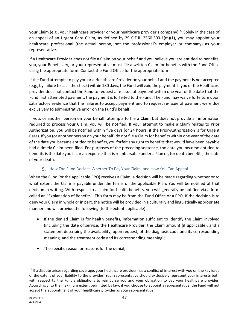your Claim (e.g., your healthcare provider or your healthcare provider's company).<sup>20</sup> Solely in the case of an appeal of an Urgent Care Claim, as defined by 29 C.F.R. 2560.503-1(m)(1), you may appoint your healthcare professional (the actual person, not the professional's employer or company) as your representative.

If a Healthcare Provider does not file a Claim on your behalf and you believe you are entitled to benefits, you, your Beneficiary, or your representative must file a written Claim for benefits with the Fund Office using the appropriate form. Contact the Fund Office for the appropriate form.

If the Fund attempts to pay you or a Healthcare Provider on your behalf and the payment is not accepted (e.g., by failure to cash the check) within 180 days, the Fund will void the payment. If you or the Healthcare provider does not contact the Fund to request a re-issue of payment within one year of the date that the Fund first attempted payment, the payment is forfeited to the Fund. The Fund may waive forfeiture upon satisfactory evidence that the failures to accept payment and to request re-issue of payment were due exclusively to administrative error on the Fund's behalf.

If you, or another person on your behalf, attempts to file a Claim but does not provide all information required to process your Claim, you will be notified. If your attempt to make a Claim relates to Prior Authorization, you will be notified within five days (or 24 hours, if the Prior-Authorization is for Urgent Care). If you (or another person on your behalf) do not file a Claim for benefits within one year of the date of the date you became entitled to benefits, you forfeit any right to benefits that would have been payable had a timely Claim been filed. For purposes of the preceding sentence, the date you become entitled to benefits is the date you incur an expense that is reimbursable under a Plan or, for death benefits, the date of your death.

# **5.** How The Fund Decides Whether To Pay Your Claim, and How You Can Appeal

When the Fund (or the applicable PPO) receives a Claim, a decision will be made regarding whether or to what extent the Claim is payable under the terms of the applicable Plan. You will be notified of that decision in writing. With respect to a claim for health benefits, you will generally be notified via a form called an "Explanation of Benefits". This form may be from the Fund Office or a PPO. If the decision is to deny your Claim in whole or in part, the notice will be provided in a culturally and linguistically appropriate manner and will provide the following (to the extent applicable):

- If the denied Claim is for health benefits, information sufficient to identify the Claim involved (including the date of service, the Healthcare Provider, the Claim amount (if applicable), and a statement describing the availability, upon request, of the diagnosis code and its corresponding meaning, and the treatment code and its corresponding meaning);
- The specific reason or reasons for the denial;

 $20$  If a dispute arises regarding coverage, your healthcare provider has a conflict of interest with you on the key issue of the extent of your liability to the provider. Your representative should exclusively represent your interests both with respect to the Fund's obligations to reimburse you and your obligation to pay your healthcare provider. Accordingly, to the maximum extent permitted by law, if you choose to appoint a representative, the Fund will not accept the appointment of your healthcare provider as your representative.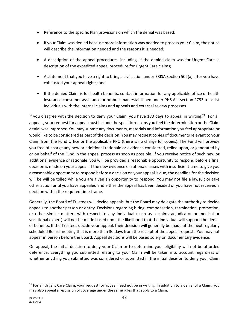- Reference to the specific Plan provisions on which the denial was based;
- If your Claim was denied because more information was needed to process your Claim, the notice will describe the information needed and the reasons it is needed;
- A description of the appeal procedures, including, if the denied claim was for Urgent Care, a description of the expedited appeal procedure for Urgent Care claims;
- A statement that you have a right to bring a civil action under ERISA Section 502(a) after you have exhausted your appeal rights; and,
- If the denied Claim is for health benefits, contact information for any applicable office of health insurance consumer assistance or ombudsman established under PHS Act section 2793 to assist individuals with the internal claims and appeals and external review processes.

If you disagree with the decision to deny your Claim, you have 180 days to appeal in writing.<sup>21</sup> For all appeals, your request for appeal must include the specific reasons you feel the determination or the Claim denial was improper. You may submit any documents, materials and information you feel appropriate or would like to be considered as part of the decision. You may request copies of documents relevant to your Claim from the Fund Office or the applicable PPO (there is no charge for copies). The Fund will provide you free of charge any new or additional rationale or evidence considered, relied upon, or generated by or on behalf of the Fund in the appeal process as soon as possible. If you receive notice of such new or additional evidence or rationale, you will be provided a reasonable opportunity to respond before a final decision is made on your appeal. If the new evidence or rationale arises with insufficient time to give you a reasonable opportunity to respond before a decision on your appeal is due, the deadline for the decision will be will be tolled while you are given an opportunity to respond. You may not file a lawsuit or take other action until you have appealed and either the appeal has been decided or you have not received a decision within the required time-frame.

Generally, the Board of Trustees will decide appeals, but the Board may delegate the authority to decide appeals to another person or entity. Decisions regarding hiring, compensation, termination, promotion, or other similar matters with respect to any individual (such as a claims adjudicator or medical or vocational expert) will not be made based upon the likelihood that the individual will support the denial of benefits. If the Trustees decide your appeal, their decision will generally be made at the next regularly scheduled Board meeting that is more than 30 days from the receipt of the appeal request. You may not appear in person before the Board. Appeal decisions will be based solely on documentary evidence.

On appeal, the initial decision to deny your Claim or to determine your eligibility will not be afforded deference. Everything you submitted relating to your Claim will be taken into account regardless of whether anything you submitted was considered or submitted in the initial decision to deny your Claim

 $21$  For an Urgent Care Claim, your request for appeal need not be in writing. In addition to a denial of a Claim, you may also appeal a rescission of coverage under the same rules that apply to a Claim.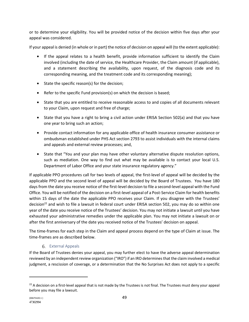or to determine your eligibility. You will be provided notice of the decision within five days after your appeal was considered.

If your appeal is denied (in whole or in part) the notice of decision on appeal will (to the extent applicable):

- If the appeal relates to a health benefit, provide information sufficient to identify the Claim involved (including the date of service, the Healthcare Provider, the Claim amount (if applicable), and a statement describing the availability, upon request, of the diagnosis code and its corresponding meaning, and the treatment code and its corresponding meaning);
- State the specific reason(s) for the decision;
- Refer to the specific Fund provision(s) on which the decision is based;
- State that you are entitled to receive reasonable access to and copies of all documents relevant to your Claim, upon request and free of charge;
- State that you have a right to bring a civil action under ERISA Section 502(a) and that you have one year to bring such an action;
- Provide contact information for any applicable office of health insurance consumer assistance or ombudsman established under PHS Act section 2793 to assist individuals with the internal claims and appeals and external review processes; and,
- State that "You and your plan may have other voluntary alternative dispute resolution options, such as mediation. One way to find out what may be available is to contact your local U.S. Department of Labor Office and your state insurance regulatory agency."

If applicable PPO procedures call for two levels of appeal, the first-level of appeal will be decided by the applicable PPO and the second level of appeal will be decided by the Board of Trustees. You have 180 days from the date you receive notice of the first-level decision to file a second-level appeal with the Fund Office. You will be notified of the decision on a first-level appeal of a Post-Service Claim for health benefits within 15 days of the date the applicable PPO receives your Claim. If you disagree with the Trustees' decision<sup>22</sup> and wish to file a lawsuit in federal court under ERISA section 502, you may do so within one year of the date you receive notice of the Trustees' decision. You may not initiate a lawsuit until you have exhausted your administrative remedies under the applicable plan. You may not initiate a lawsuit on or after the first anniversary of the date you received notice of the Trustees' decision on appeal.

The time-frames for each step in the Claim and appeal process depend on the type of Claim at issue. The time-frames are as described below.

## 6. External Appeals

If the Board of Trustees denies your appeal, you may further elect to have the adverse appeal determination reviewed by an independent review organization ("IRO") if an IRO determines that the claim involved a medical judgment, a rescission of coverage, or a determination that the No Surprises Act does not apply to a specific

 $22$  A decision on a first-level appeal that is not made by the Trustees is not final. The Trustees must deny your appeal before you may file a lawsuit.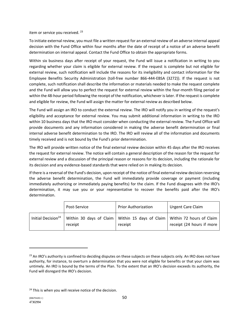item or service you received. <sup>23</sup>

To initiate external review, you must file a written request for an external review of an adverse internal appeal decision with the Fund Office within four months after the date of receipt of a notice of an adverse benefit determination on internal appeal. Contact the Fund Office to obtain the appropriate forms.

Within six business days after receipt of your request, the Fund will issue a notification in writing to you regarding whether your claim is eligible for external review. If the request is complete but not eligible for external review, such notification will include the reasons for its ineligibility and contact information for the Employee Benefits Security Administration (toll-free number 866-444-EBSA (3272)). If the request is not complete, such notification shall describe the information or materials needed to make the request complete and the Fund will allow you to perfect the request for external review within the four-month filing period or within the 48-hour period following the receipt of the notification, whichever is later. If the request is complete and eligible for review, the Fund will assign the matter for external review as described below.

The Fund will assign an IRO to conduct the external review. The IRO will notify you in writing of the request's eligibility and acceptance for external review. You may submit additional information in writing to the IRO within 10 business days that the IRO must consider when conducting the external review. The Fund Office will provide documents and any information considered in making the adverse benefit determination or final internal adverse benefit determination to the IRO. The IRO will review all of the information and documents timely received and is not bound by the Fund's prior determination.

The IRO will provide written notice of the final external review decision within 45 days after the IRO receives the request for external review. The notice will contain a general description of the reason for the request for external review and a discussion of the principal reason or reasons for its decision, including the rationale for its decision and any evidence-based standards that were relied on in making its decision.

If there is a reversal of the Fund's decision, upon receipt of the notice of final external review decision reversing the adverse benefit determination, the Fund will immediately provide coverage or payment (including immediately authorizing or immediately paying benefits) for the claim. If the Fund disagrees with the IRO's determination, it may sue you or your representative to recover the benefits paid after the IRO's determination.

|                                | Post-Service | <b>Prior Authorization</b> | <b>Urgent Care Claim</b>                                                                                  |
|--------------------------------|--------------|----------------------------|-----------------------------------------------------------------------------------------------------------|
| Initial Decision <sup>24</sup> | receipt      | receipt                    | Within 30 days of Claim   Within 15 days of Claim   Within 72 hours of Claim<br>receipt (24 hours if more |

<sup>&</sup>lt;sup>23</sup> An IRO's authority is confined to deciding disputes on these subjects on these subjects only. An IRO does not have authority, for instance, to overturn a determination that you were not eligible for benefits or that your claim was untimely. An IRO is bound by the terms of the Plan. To the extent that an IRO's decision exceeds its authority, the Fund will disregard the IRO's decision.

<sup>&</sup>lt;sup>24</sup> This is when you will receive notice of the decision.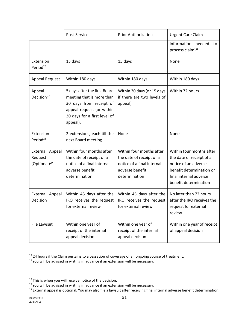|                                                 | Post-Service                                                                                                                                                  | <b>Prior Authorization</b>                                                                                             | <b>Urgent Care Claim</b>                                                                                                                                    |
|-------------------------------------------------|---------------------------------------------------------------------------------------------------------------------------------------------------------------|------------------------------------------------------------------------------------------------------------------------|-------------------------------------------------------------------------------------------------------------------------------------------------------------|
|                                                 |                                                                                                                                                               |                                                                                                                        | information needed<br>to<br>process claim) <sup>25</sup>                                                                                                    |
| Extension<br>Period <sup>26</sup>               | 15 days                                                                                                                                                       | 15 days                                                                                                                | None                                                                                                                                                        |
| <b>Appeal Request</b>                           | Within 180 days                                                                                                                                               | Within 180 days                                                                                                        | Within 180 days                                                                                                                                             |
| Appeal<br>Decision <sup>27</sup>                | 5 days after the first Board<br>meeting that is more than<br>30 days from receipt of<br>appeal request (or within<br>30 days for a first level of<br>appeal). | Within 30 days (or 15 days<br>if there are two levels of<br>appeal)                                                    | Within 72 hours                                                                                                                                             |
| Extension<br>Period <sup>28</sup>               | 2 extensions, each till the<br>next Board meeting                                                                                                             | None                                                                                                                   | None                                                                                                                                                        |
| External Appeal<br>Request<br>$(Optional)^{29}$ | Within four months after<br>the date of receipt of a<br>notice of a final internal<br>adverse benefit<br>determination                                        | Within four months after<br>the date of receipt of a<br>notice of a final internal<br>adverse benefit<br>determination | Within four months after<br>the date of receipt of a<br>notice of an adverse<br>benefit determination or<br>final internal adverse<br>benefit determination |
| External Appeal<br>Decision                     | Within 45 days after the<br>IRO receives the request<br>for external review                                                                                   | Within 45 days after the<br>IRO receives the request<br>for external review                                            | No later than 72 hours<br>after the IRO receives the<br>request for external<br>review                                                                      |
| File Lawsuit                                    | Within one year of<br>receipt of the internal<br>appeal decision                                                                                              | Within one year of<br>receipt of the internal<br>appeal decision                                                       | Within one year of receipt<br>of appeal decision                                                                                                            |

<sup>&</sup>lt;sup>25</sup> 24 hours if the Claim pertains to a cessation of coverage of an ongoing course of treatment.<br><sup>26</sup> You will be advised in writing in advance if an extension will be necessary.

<sup>&</sup>lt;sup>27</sup> This is when you will receive notice of the decision.<br><sup>28</sup> You will be advised in writing in advance if an extension will be necessary.

<sup>&</sup>lt;sup>29</sup> External appeal is optional. You may also file a lawsuit after receiving final internal adverse benefit determination.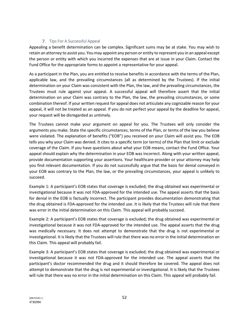# 7. Tips For A Successful Appeal

Appealing a benefit determination can be complex. Significant sums may be at stake. You may wish to retain an attorney to assist you. You may appoint any person or entity to represent you in an appeal except the person or entity with which you incurred the expenses that are at issue in your Claim. Contact the Fund Office for the appropriate forms to appoint a representative for your appeal.

As a participant in the Plan, you are entitled to receive benefits in accordance with the terms of the Plan, applicable law, and the prevailing circumstances (all as determined by the Trustees). If the initial determination on your Claim was consistent with the Plan, the law, and the prevailing circumstances, the Trustees must rule against your appeal. A successful appeal will therefore assert that the initial determination on your Claim was contrary to the Plan, the law, the prevailing circumstances, or some combination thereof. If your written request for appeal does not articulate any cognizable reason for your appeal, it will not be treated as an appeal. If you do not perfect your appeal by the deadline for appeal, your request will be disregarded as untimely.

The Trustees cannot make your argument on appeal for you. The Trustees will only consider the arguments you make. State the specific circumstances, terms of the Plan, or terms of the law you believe were violated. The explanation of benefits ("EOB") you received on your Claim will assist you. The EOB tells you why your Claim was denied. It cites to a specific term (or terms) of the Plan that limit or exclude coverage of the Claim. If you have questions about what your EOB means, contact the Fund Office. Your appeal should explain why the determination in your EOB was incorrect. Along with your written appeal, provide documentation supporting your assertions. Your healthcare provider or your attorney may help you find relevant documentation. If you do not successfully argue that the basis for denial conveyed in your EOB was contrary to the Plan, the law, or the prevailing circumstances, your appeal is unlikely to succeed.

Example 1: A participant's EOB states that coverage is excluded; the drug obtained was experimental or investigational because it was not FDA-approved for the intended use. The appeal asserts that the basis for denial in the EOB is factually incorrect. The participant provides documentation demonstrating that the drug obtained is FDA-approved for the intended use. It is likely that the Trustees will rule that there was error in the initial determination on this Claim. This appeal will probably succeed.

Example 2: A participant's EOB states that coverage is excluded; the drug obtained was experimental or investigational because it was not FDA-approved for the intended use. The appeal asserts that the drug was medically necessary. It does not attempt to demonstrate that the drug is not experimental or investigational. It is likely that the Trustees will rule that there was no error in the initial determination on this Claim. This appeal will probably fail.

Example 3: A participant's EOB states that coverage is excluded; the drug obtained was experimental or investigational because it was not FDA-approved for the intended use. The appeal asserts that the participant's doctor recommended the drug and it should therefore be covered. The appeal does not attempt to demonstrate that the drug is not experimental or investigational. It is likely that the Trustees will rule that there was no error in the initial determination on this Claim. This appeal will probably fail.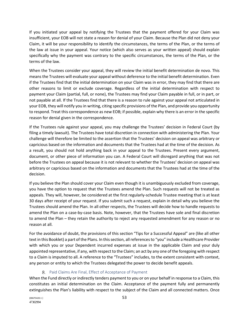If you initiated your appeal by notifying the Trustees that the payment offered for your Claim was insufficient, your EOB will not state a reason for denial of your Claim. Because the Plan did not deny your Claim, it will be your responsibility to identify the circumstances, the terms of the Plan, or the terms of the law at issue in your appeal. Your notice (which also serves as your written appeal) should explain specifically why the payment was contrary to the specific circumstances, the terms of the Plan, or the terms of the law.

When the Trustees consider your appeal, they will review the initial benefit determination de novo. This means the Trustees will evaluate your appeal without deference to the initial benefit determination. Even if the Trustees find that the initial determination on your Claim was in error, they may find that there are other reasons to limit or exclude coverage. Regardless of the initial determination with respect to payment your Claim (partial, full, or none), the Trustees may find your Claim payable in full, or in part, or not payable at all. If the Trustees find that there is a reason to rule against your appeal not articulated in your EOB, they will notify you in writing, citing specific provisions of the Plan, and provide you opportunity to respond. Treat this correspondence as new EOB; if possible, explain why there is an error in the specific reason for denial given in the correspondence.

If the Trustees rule against your appeal, you may challenge the Trustees' decision in Federal Court (by filing a timely lawsuit). The Trustees have total discretion in connection with administering the Plan. Your challenge will therefore be limited to the assertion that the Trustees' decision on appeal was arbitrary or capricious based on the information and documents that the Trustees had at the time of the decision. As a result, you should not hold anything back in your appeal to the Trustees. Present every argument, document, or other piece of information you can. A Federal Court will disregard anything that was not before the Trustees on appeal because it is not relevant to whether the Trustees' decision on appeal was arbitrary or capricious based on the information and documents that the Trustees had at the time of the decision.

If you believe the Plan should cover your Claim even though it is unambiguously excluded from coverage, you have the option to request that the Trustees amend the Plan. Such requests will not be treated as appeals. They will, however, be considered at the first regularly-schedule Trustee meeting that is at least 30 days after receipt of your request. If you submit such a request, explain in detail why you believe the Trustees should amend the Plan. In all other respects, the Trustees will decide how to handle requests to amend the Plan on a case-by-case basis. Note, however, that the Trustees have sole and final discretion to amend the Plan – they retain the authority to reject any requested amendment for any reason or no reason at all.

For the avoidance of doubt, the provisions of this section "Tips for a Successful Appeal" are (like all other text in this Booklet) a part of the Plans. In this section, all references to "you" include a Healthcare Provider with which you or your Dependent incurred expenses at issue in the applicable Claim and your duly appointed representative, if any, with respect to the Claim; an act by any one of the foregoing with respect to a Claim is imputed to all. A reference to the "Trustees" includes, to the extent consistent with context, any person or entity to which the Trustees delegated the power to decide benefit appeals.

# 8. Paid Claims Are Final, Effect of Acceptance of Payment

When the Fund directly or indirectly tenders payment to you or on your behalf in response to a Claim, this constitutes an initial determination on the Claim. Acceptance of the payment fully and permanently extinguishes the Plan's liability with respect to the subject of the Claim and all connected matters. Once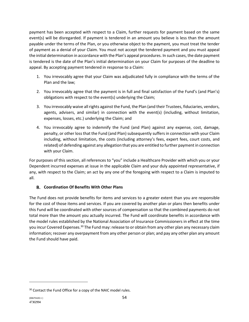payment has been accepted with respect to a Claim, further requests for payment based on the same event(s) will be disregarded. If payment is tendered in an amount you believe is less than the amount payable under the terms of the Plan, or you otherwise object to the payment, you must treat the tender of payment as a denial of your Claim. You must not accept the tendered payment and you must appeal the initial determination in accordance with the Plan's appeal procedures. In such cases, the date payment is tendered is the date of the Plan's initial determination on your Claim for purposes of the deadline to appeal. By accepting payment tendered in response to a Claim:

- 1. You irrevocably agree that your Claim was adjudicated fully in compliance with the terms of the Plan and the law;
- 2. You irrevocably agree that the payment is in full and final satisfaction of the Fund's (and Plan's) obligations with respect to the event(s) underlying the Claim;
- 3. You irrevocably waive all rights against the Fund, the Plan (and their Trustees, fiduciaries, vendors, agents, advisers, and similar) in connection with the event(s) (including, without limitation, expenses, losses, etc.) underlying the Claim; and
- 4. You irrevocably agree to indemnify the Fund (and Plan) against any expense, cost, damage, penalty, or other loss that the Fund (and Plan) subsequently suffers in connection with your Claim including, without limitation, the costs (including attorney's fees, expert fees, court costs, and related) of defending against any allegation that you are entitled to further payment in connection with your Claim.

For purposes of this section, all references to "you" include a Healthcare Provider with which you or your Dependent incurred expenses at issue in the applicable Claim and your duly appointed representative, if any, with respect to the Claim; an act by any one of the foregoing with respect to a Claim is imputed to all.

# **Coordination Of Benefits With Other Plans**

The Fund does not provide benefits for items and services to a greater extent than you are responsible for the cost of those items and services. If you are covered by another plan or plans then benefits under this Fund will be coordinated with other sources of compensation so that the combined payments do not total more than the amount you actually incurred. The Fund will coordinate benefits in accordance with the model rules established by the National Association of Insurance Commissioners in effect at the time you incur Covered Expenses.<sup>30</sup> The Fund may: release to or obtain from any other plan any necessary claim information; recover any overpayment from any other person or plan; and pay any other plan any amount the Fund should have paid.

<sup>&</sup>lt;sup>30</sup> Contact the Fund Office for a copy of the NAIC model rules.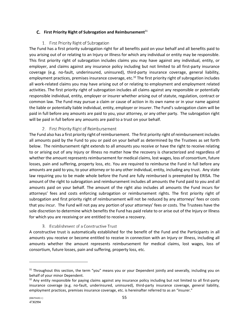## **C.** First Priority Right of Subrogation and Reimbursement<sup>31</sup>

# 1. First Priority Right of Subrogation

The Fund has a first priority subrogation right for all benefits paid on your behalf and all benefits paid to you arising out of or relating to an Injury or Illness for which any individual or entity may be responsible. This first priority right of subrogation includes claims you may have against any individual, entity, or employer, and claims against any insurance policy including but not limited to all first-party insurance coverage (e.g. no-fault, underinsured, uninsured), third-party insurance coverage, general liability, employment practices, premises insurance coverage, etc.<sup>32</sup> The first priority right of subrogation includes all work-related claims you may have arising out of or relating to employment and employment related activities. The first priority right of subrogation includes all claims against any responsible or potentially responsible individual, entity, employer or insurer whether arising out of statute, regulation, contract or common law. The Fund may pursue a claim or cause of action in its own name or in your name against the liable or potentially liable individual, entity, employer or insurer. The Fund's subrogation claim will be paid in full before any amounts are paid to you, your attorney, or any other party. The subrogation right will be paid in full before any amounts are paid to a trust on your behalf.

## 2. First Priority Right of Reimbursement

The Fund also has a first priority right of reimbursement. The first priority right of reimbursement includes all amounts paid by the Fund to you or paid on your behalf as determined by the Trustees as set forth below. The reimbursement right extends to all amounts you receive or have the right to receive relating to or arising out of any Injury or Illness no matter how the recovery is characterized and regardless of whether the amount represents reimbursement for medical claims, lost wages, loss of consortium, future losses, pain and suffering, property loss, etc. You are required to reimburse the Fund in full before any amounts are paid to you, to your attorney or to any other individual, entity, including any trust. Any state law requiring you to be made whole before the Fund are fully reimbursed is preempted by ERISA. The amount of the right to subrogation and reimbursement includes all amounts the Fund paid to you and all amounts paid on your behalf. The amount of the right also includes all amounts the Fund incurs for attorneys' fees and costs enforcing subrogation or reimbursement rights. The first priority right of subrogation and first priority right of reimbursement will not be reduced by any attorneys' fees or costs that you incur. The Fund will not pay any portion of your attorneys' fees or costs. The Trustees have the sole discretion to determine which benefits the Fund has paid relate to or arise out of the Injury or Illness for which you are receiving or are entitled to receive a recovery.

# 3. Establishment of a Constructive Trust

A constructive trust is automatically established for the benefit of the Fund and the Participants in all amounts you receive or become entitled to receive in connection with an Injury or Illness, including all amounts whether the amount represents reimbursement for medical claims, lost wages, loss of consortium, future losses, pain and suffering, property loss, etc.

 $31$  Throughout this section, the term "you" means you or your Dependent jointly and severally, including you on behalf of your minor Dependent.

 $32$  Any entity responsible for paying claims against any insurance policy including but not limited to all first-party insurance coverage (e.g. no-fault, underinsured, uninsured), third-party insurance coverage, general liability, employment practices, premises insurance coverage, etc. is hereinafter referred to as an "insurer."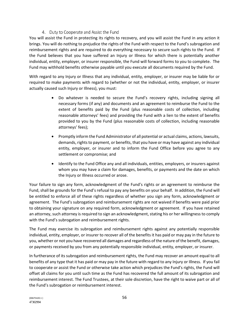# 4. Duty to Cooperate and Assist the Fund

You will assist the Fund in protecting its rights to recovery, and you will assist the Fund in any action it brings. You will do nothing to prejudice the rights of the Fund with respect to the Fund's subrogation and reimbursement rights and are required to do everything necessary to secure such rights to the Fund. If the Fund believes that you have suffered an Injury or Illness for which there is potentially another individual, entity, employer, or insurer responsible, the Fund will forward forms to you to complete. The Fund may withhold benefits otherwise payable until you execute all documents required by the Fund.

With regard to any Injury or Illness that any individual, entity, employer, or insurer may be liable for or required to make payments with regard to (whether or not the individual, entity, employer, or insurer actually caused such Injury or Illness), you must:

- Do whatever is needed to secure the Fund's recovery rights, including signing all necessary forms (if any) and documents and an agreement to reimburse the Fund to the extent of benefits paid by the Fund (plus reasonable costs of collection, including reasonable attorneys' fees) and providing the Fund with a lien to the extent of benefits provided to you by the Fund (plus reasonable costs of collection, including reasonable attorneys' fees);
- Promptly inform the Fund Administrator of all potential or actual claims, actions, lawsuits, demands, rights to payment, or benefits, that you have or may have against any individual entity, employer, or insurer and to inform the Fund Office before you agree to any settlement or compromise; and
- Identify to the Fund Office any and all individuals, entities, employers, or insurers against whom you may have a claim for damages, benefits, or payments and the date on which the Injury or Illness occurred or arose.

Your failure to sign any form, acknowledgment of the Fund's rights or an agreement to reimburse the Fund, shall be grounds for the Fund's refusal to pay any benefits on your behalf. In addition, the Fund will be entitled to enforce all of these rights regardless of whether you sign any form, acknowledgment or agreement. The Fund's subrogation and reimbursement rights are not waived if benefits were paid prior to obtaining your signature on any required form, acknowledgment or agreement. If you have retained an attorney, such attorney is required to sign an acknowledgment, stating his or her willingness to comply with the Fund's subrogation and reimbursement rights.

The Fund may exercise its subrogation and reimbursement rights against any potentially responsible individual, entity, employer, or insurer to recover all of the benefits it has paid or may pay in the future to you, whether or not you have recovered all damages and regardless of the nature of the benefit, damages, or payments received by you from any potentially responsible individual, entity, employer, or insurer.

In furtherance of its subrogation and reimbursement rights, the Fund may recover an amount equal to all benefits of any type that it has paid or may pay in the future with regard to any Injury or Illness. If you fail to cooperate or assist the Fund or otherwise take action which prejudices the Fund's rights, the Fund will offset all claims for you until such time as the Fund has recovered the full amount of its subrogation and reimbursement interest. The Fund Trustees, at their sole discretion, have the right to waive part or all of the Fund's subrogation or reimbursement interest.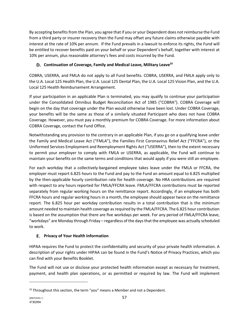By accepting benefits from the Plan, you agree that if you or your Dependent does not reimburse the Fund from a third party or insurer recovery then the Fund may offset any future claims otherwise payable with interest at the rate of 10% per annum. If the Fund prevails in a lawsuit to enforce its rights, the Fund will be entitled to recover benefits paid on your behalf or your Dependent's behalf, together with interest at 10% per annum, plus reasonable attorney's fees and costs incurred by the Fund.

# **Continuation of Coverage, Family and Medical Leave, Military Leave33**

COBRA, USERRA, and FMLA do not apply to all Fund benefits. COBRA, USERRA, and FMLA apply only to the U.A. Local 125 Health Plan, the U.A. Local 125 Dental Plan, the U.A. Local 125 Vision Plan, and the U.A. Local 125 Health Reimbursement Arrangement.

If your participation in an applicable Plan is terminated, you may qualify to continue your participation under the Consolidated Omnibus Budget Reconciliation Act of 1985 ("COBRA"). COBRA Coverage will begin on the day that coverage under the Plan would otherwise have been lost. Under COBRA Coverage, your benefits will be the same as those of a similarly situated Participant who does not have COBRA Coverage. However, you must pay a monthly premium for COBRA Coverage. For more information about COBRA Coverage, contact the Fund Office.

Notwithstanding any provision to the contrary in an applicable Plan, if you go on a qualifying leave under the Family and Medical Leave Act ("FMLA"), the Families First Coronavirus Relief Act ("FFCRA"), or the Uniformed Services Employment and Reemployment Rights Act ("USERRA"), then to the extent necessary to permit your employer to comply with FMLA or USERRA, as applicable, the Fund will continue to maintain your benefits on the same terms and conditions that would apply if you were still an employee.

For each workday that a collectively-bargained employee takes leave under the FMLA or FFCRA, the employer must report 6.825 hours to the Fund and pay to the Fund an amount equal to 6.825 multiplied by the then-applicable hourly contribution rate for health coverage. No HRA contributions are required with respect to any hours reported for FMLA/FFCRA leave. FMLA/FFCRA contributions must be reported separately from regular working hours on the remittance report. Accordingly, if an employee has both FFCRA hours and regular working hours in a month, the employee should appear twice on the remittance report. The 6.825 hour per workday contribution results in a total contribution that is the minimum amount needed to maintain health coverage as required by the FMLA/FFCRA. The 6.825 hour contribution is based on the assumption that there are five workdays per week. For any period of FMLA/FFCRA leave, "workdays" are Monday through Friday – regardless of the days that the employee was actually scheduled to work.

# **Privacy of Your Health Information**

HIPAA requires the Fund to protect the confidentiality and security of your private health information. A description of your rights under HIPAA can be found in the Fund's Notice of Privacy Practices, which you can find with your Benefits Booklet.

The Fund will not use or disclose your protected health information except as necessary for treatment, payment, and health plan operations, or as permitted or required by law. The Fund will implement

<sup>&</sup>lt;sup>33</sup> Throughout this section, the term "you" means a Member and not a Dependent.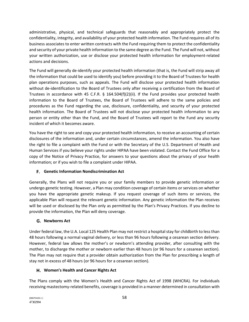administrative, physical, and technical safeguards that reasonably and appropriately protect the confidentiality, integrity, and availability of your protected health information. The Fund requires all of its business associates to enter written contracts with the Fund requiring them to protect the confidentiality and security of your private health information to the same degree as the Fund. The Fund will not, without your written authorization, use or disclose your protected health information for employment-related actions and decisions.

The Fund will generally de-identify your protected health information (that is, the Fund will strip away all the information that could be used to identify you) before providing it to the Board of Trustees for health plan operations purposes, such as appeals. The Fund will disclose your protected health information without de-identification to the Board of Trustees only after receiving a certification from the Board of Trustees in accordance with 45 C.F.R. § 164.504(f)(2)(ii). If the Fund provides your protected health information to the Board of Trustees, the Board of Trustees will adhere to the same policies and procedures as the Fund regarding the use, disclosure, confidentiality, and security of your protected health information. The Board of Trustees will not disclose your protected health information to any person or entity other than the Fund, and the Board of Trustees will report to the Fund any security incident of which it becomes aware.

You have the right to see and copy your protected health information, to receive an accounting of certain disclosures of the information and, under certain circumstances, amend the information. You also have the right to file a complaint with the Fund or with the Secretary of the U.S. Department of Health and Human Services if you believe your rights under HIPAA have been violated. Contact the Fund Office for a copy of the Notice of Privacy Practice, for answers to your questions about the privacy of your health information; or if you wish to file a complaint under HIPAA.

# **Genetic Information Nondiscrimination Act**

Generally, the Plans will not require you or your family members to provide genetic information or undergo genetic testing. However, a Plan may condition coverage of certain items or services on whether you have the appropriate genetic makeup. If you request coverage of such items or services, the applicable Plan will request the relevant genetic information. Any genetic information the Plan receives will be used or disclosed by the Plan only as permitted by the Plan's Privacy Practices. If you decline to provide the information, the Plan will deny coverage.

# **Newborns Act**

Under federal law, the U.A. Local 125 Health Plan may not restrict a hospital stay for childbirth to less than 48 hours following a normal vaginal delivery, or less than 96 hours following a cesarean section delivery. However, federal law allows the mother's or newborn's attending provider, after consulting with the mother, to discharge the mother or newborn earlier than 48 hours (or 96 hours for a cesarean section). The Plan may not require that a provider obtain authorization from the Plan for prescribing a length of stay not in excess of 48 hours (or 96 hours for a cesarean section).

# **Women's Health and Cancer Rights Act**

The Plans comply with the Women's Health and Cancer Rights Act of 1998 (WHCRA). For individuals receiving mastectomy-related benefits, coverage is provided in a manner determined in consultation with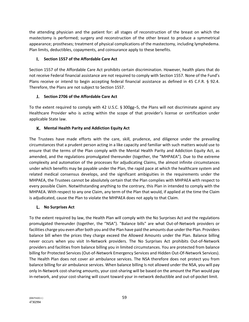the attending physician and the patient for: all stages of reconstruction of the breast on which the mastectomy is performed; surgery and reconstruction of the other breast to produce a symmetrical appearance; prostheses; treatment of physical complications of the mastectomy, including lymphedema. Plan limits, deductibles, copayments, and coinsurance apply to these benefits.

# **Section 1557 of the Affordable Care Act**

Section 1557 of the Affordable Care Act prohibits certain discrimination. However, health plans that do not receive Federal financial assistance are not required to comply with Section 1557. None of the Fund's Plans receive or intend to begin accepting federal financial assistance as defined in 45 C.F.R. § 92.4. Therefore, the Plans are not subject to Section 1557.

# **Section 2706 of the Affordable Care Act**

To the extent required to comply with 42 U.S.C. § 300gg–5, the Plans will not discriminate against any Healthcare Provider who is acting within the scope of that provider's license or certification under applicable State law.

# **Mental Health Parity and Addiction Equity Act**

The Trustees have made efforts with the care, skill, prudence, and diligence under the prevailing circumstances that a prudent person acting in a like capacity and familiar with such matters would use to ensure that the terms of the Plan comply with the Mental Health Parity and Addiction Equity Act, as amended, and the regulations promulgated thereunder (together, the "MHPAEA"). Due to the extreme complexity and automation of the processes for adjudicating Claims, the almost infinite circumstances under which benefits may be payable under the Plan, the rapid pace at which the healthcare system and related medical consensus develops, and the significant ambiguities in the requirements under the MHPAEA, the Trustees cannot be absolutely certain that the Plan complies with MHPAEA with respect to every possible Claim. Notwithstanding anything to the contrary, this Plan in intended to comply with the MHPAEA. With respect to any one Claim, any term of the Plan that would, if applied at the time the Claim is adjudicated, cause the Plan to violate the MHPAEA does not apply to that Claim.

# **No Surprises Act**

To the extent required by law, the Health Plan will comply with the No Surprises Act and the regulations promulgated thereunder (together, the "NSA"). "Balance bills" are what Out-of-Network providers or facilities charge you even after both you and the Plan have paid the amounts due under the Plan. Providers balance bill when the prices they charge exceed the Allowed Amounts under the Plan. Balance billing never occurs when you visit In-Network providers. The No Surprises Act prohibits Out-of-Network providers and facilities from balance billing you in limited circumstances. You are protected from balance billing for Protected Services (Out-of-Network Emergency Services and Hidden Out-Of-Network Services). The Health Plan does not cover air ambulance services. The NSA therefore does not protect you from balance billing for air ambulance services. When balance billing Is not allowed under the NSA, you will pay only In-Network cost-sharing amounts, your cost-sharing will be based on the amount the Plan would pay in-network, and your cost-sharing will count toward your in-network deductible and out-of-pocket limit.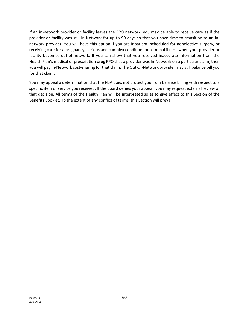If an in-network provider or facility leaves the PPO network, you may be able to receive care as if the provider or facility was still In-Network for up to 90 days so that you have time to transition to an innetwork provider. You will have this option if you are inpatient, scheduled for nonelective surgery, or receiving care for a pregnancy, serious and complex condition, or terminal illness when your provider or facility becomes out-of-network. If you can show that you received inaccurate information from the Health Plan's medical or prescription drug PPO that a provider was In-Network on a particular claim, then you will pay In-Network cost-sharing for that claim. The Out-of-Network provider may still balance bill you for that claim.

You may appeal a determination that the NSA does not protect you from balance billing with respect to a specific item or service you received. If the Board denies your appeal, you may request external review of that decision. All terms of the Health Plan will be interpreted so as to give effect to this Section of the Benefits Booklet. To the extent of any conflict of terms, this Section will prevail.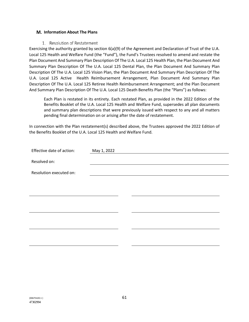#### **Information About The Plans**

#### 1. Resolution of Restatement

Exercising the authority granted by section 6(a)(9) of the Agreement and Declaration of Trust of the U.A. Local 125 Health and Welfare Fund (the "Fund"), the Fund's Trustees resolved to amend and restate the Plan Document And Summary Plan Description Of The U.A. Local 125 Health Plan, the Plan Document And Summary Plan Description Of The U.A. Local 125 Dental Plan, the Plan Document And Summary Plan Description Of The U.A. Local 125 Vision Plan, the Plan Document And Summary Plan Description Of The U.A. Local 125 Active Health Reimbursement Arrangement, Plan Document And Summary Plan Description Of The U.A. Local 125 Retiree Health Reimbursement Arrangement; and the Plan Document And Summary Plan Description Of The U.A. Local 125 Death Benefits Plan (the "Plans") as follows:

Each Plan is restated in its entirety. Each restated Plan, as provided in the 2022 Edition of the Benefits Booklet of the U.A. Local 125 Health and Welfare Fund, supersedes all plan documents and summary plan descriptions that were previously issued with respect to any and all matters pending final determination on or arising after the date of restatement.

In connection with the Plan restatement(s) described above, the Trustees approved the 2022 Edition of the Benefits Booklet of the U.A. Local 125 Health and Welfare Fund.

| Effective date of action: | May 1, 2022 |  |
|---------------------------|-------------|--|
| Resolved on:              |             |  |
|                           |             |  |
| Resolution executed on:   |             |  |
|                           |             |  |
|                           |             |  |
|                           |             |  |
|                           |             |  |
|                           |             |  |
|                           |             |  |
|                           |             |  |
|                           |             |  |
|                           |             |  |
|                           |             |  |
|                           |             |  |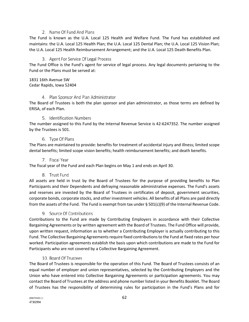#### 2. Name Of Fund And Plans

The Fund is known as the U.A. Local 125 Health and Welfare Fund. The Fund has established and maintains: the U.A. Local 125 Health Plan; the U.A. Local 125 Dental Plan; the U.A. Local 125 Vision Plan; the U.A. Local 125 Health Reimbursement Arrangement; and the U.A. Local 125 Death Benefits Plan.

#### 3. Agent For Service Of Legal Process

The Fund Office is the Fund's agent for service of legal process. Any legal documents pertaining to the Fund or the Plans must be served at:

#### 1831 16th Avenue SW Cedar Rapids, Iowa 52404

#### 4. Plan Sponsor And Plan Administrator

The Board of Trustees is both the plan sponsor and plan administrator, as those terms are defined by ERISA, of each Plan.

#### 5. Identification Numbers

The number assigned to this Fund by the Internal Revenue Service is 42-6247352. The number assigned by the Trustees is 501.

#### 6. Type Of Plans

The Plans are maintained to provide: benefits for treatment of accidental injury and illness; limited scope dental benefits; limited scope vision benefits; health reimbursement benefits; and death benefits.

#### 7. Fiscal Year

The fiscal year of the Fund and each Plan begins on May 1 and ends on April 30.

## 8. Trust Fund

All assets are held in trust by the Board of Trustees for the purpose of providing benefits to Plan Participants and their Dependents and defraying reasonable administrative expenses. The Fund's assets and reserves are invested by the Board of Trustees in certificates of deposit, government securities, corporate bonds, corporate stocks, and other investment vehicles. All benefits of all Plans are paid directly from the assets of the Fund. The Fund is exempt from tax under  $\S 501(c)(9)$  of the Internal Revenue Code.

## 9. Source Of Contributions

Contributions to the Fund are made by Contributing Employers in accordance with their Collective Bargaining Agreements or by written agreement with the Board of Trustees. The Fund Office will provide, upon written request, information as to whether a Contributing Employer is actually contributing to this Fund. The Collective Bargaining Agreements require fixed contributions to the Fund at fixed rates per hour worked. Participation agreements establish the basis upon which contributions are made to the Fund for Participants who are not covered by a Collective Bargaining Agreement.

## 10. Board Of Trustees

The Board of Trustees is responsible for the operation of this Fund. The Board of Trustees consists of an equal number of employer and union representatives, selected by the Contributing Employers and the Union who have entered into Collective Bargaining Agreements or participation agreements. You may contact the Board of Trustees at the address and phone number listed in your Benefits Booklet. The Board of Trustees has the responsibility of determining rules for participation in the Fund's Plans and for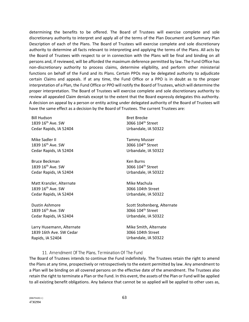determining the benefits to be offered. The Board of Trustees will exercise complete and sole discretionary authority to interpret and apply all of the terms of the Plan Document and Summary Plan Description of each of the Plans. The Board of Trustees will exercise complete and sole discretionary authority to determine all facts relevant to interpreting and applying the terms of the Plans. All acts by the Board of Trustees with respect to or in connection with the Plans will be final and binding on all persons and, if reviewed, will be afforded the maximum deference permitted by law. The Fund Office has non-discretionary authority to process claims, determine eligibility, and perform other ministerial functions on behalf of the Fund and its Plans. Certain PPOs may be delegated authority to adjudicate certain Claims and appeals. If at any time, the Fund Office or a PPO is in doubt as to the proper interpretation of a Plan, the Fund Office or PPO will notify the Board of Trustees, which will determine the proper interpretation. The Board of Trustees will exercise complete and sole discretionary authority to review all appealed Claim denials except to the extent that the Board expressly delegates this authority. A decision on appeal by a person or entity acting under delegated authority of the Board of Trustees will have the same effect as a decision by the Board of Trustees. The current Trustees are:

Bill Hudson 1839 16<sup>th</sup> Ave. SW Cedar Rapids, IA 52404

Mike Sadler II 1839 16<sup>th</sup> Ave. SW Cedar Rapids, IA 52404

Bruce Beckman 1839 16<sup>th</sup> Ave. SW Cedar Rapids, IA 52404

Matt Kranzler, Alternate 1839 16<sup>th</sup> Ave. SW Cedar Rapids, IA 52404

Dustin Ashmore 1839 16<sup>th</sup> Ave. SW Cedar Rapids, IA 52404

Larry Husemann, Alternate 1839 16th Ave. SW Cedar Rapids, IA 52404

Bret Brecke 3066 104th Street Urbandale, IA 50322

Tammy Musser 3066 104th Street Urbandale, IA 50322

Ken Burns 3066 104th Street Urbandale, IA 50322

Mike Machula 3066 104th Street Urbandale, IA 50322

Scott Stoltenberg, Alternate 3066 104<sup>th</sup> Street Urbandale, IA 50322

Mike Smith, Alternate 3066 104th Street Urbandale, IA 50322

#### 11. Amendment Of The Plans, Termination Of The Fund

The Board of Trustees intends to continue the Fund indefinitely. The Trustees retain the right to amend the Plans at any time, prospectively or retrospectively to the extent permitted by law. Any amendment to a Plan will be binding on all covered persons on the effective date of the amendment. The Trustees also retain the right to terminate a Plan or the Fund. In this event, the assets of the Plan or Fund will be applied to all existing benefit obligations. Any balance that cannot be so applied will be applied to other uses as,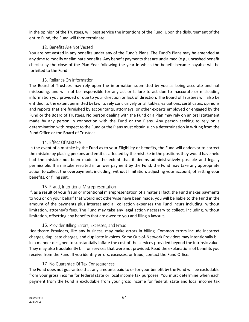in the opinion of the Trustees, will best service the intentions of the Fund. Upon the disbursement of the entire Fund, the Fund will then terminate.

## 12. Benefits Are Not Vested

You are not vested in any benefits under any of the Fund's Plans. The Fund's Plans may be amended at any time to modify or eliminate benefits. Any benefit payments that are unclaimed (e.g., uncashed benefit checks) by the close of the Plan Year following the year in which the benefit became payable will be forfeited to the Fund.

# 13. Reliance On Information

The Board of Trustees may rely upon the information submitted by you as being accurate and not misleading, and will not be responsible for any act or failure to act due to inaccurate or misleading information you provided or due to your direction or lack of direction. The Board of Trustees will also be entitled, to the extent permitted by law, to rely conclusively on all tables, valuations, certificates, opinions and reports that are furnished by accountants, attorneys, or other experts employed or engaged by the Fund or the Board of Trustees. No person dealing with the Fund or a Plan may rely on an oral statement made by any person in connection with the Fund or the Plans. Any person seeking to rely on a determination with respect to the Fund or the Plans must obtain such a determination in writing from the Fund Office or the Board of Trustees.

# 14. Effect Of Mistake

In the event of a mistake by the Fund as to your Eligibility or benefits, the Fund will endeavor to correct the mistake by placing persons and entities affected by the mistake in the positions they would have held had the mistake not been made to the extent that it deems administratively possible and legally permissible. If a mistake resulted in an overpayment by the Fund, the Fund may take any appropriate action to collect the overpayment, including, without limitation, adjusting your account, offsetting your benefits, or filing suit.

# 15. Fraud, Intentional Misrepresentation

If, as a result of your fraud or intentional misrepresentation of a material fact, the Fund makes payments to you or on your behalf that would not otherwise have been made, you will be liable to the Fund in the amount of the payments plus interest and all collection expenses the Fund incurs including, without limitation, attorney's fees. The Fund may take any legal action necessary to collect, including, without limitation, offsetting any benefits that are owed to you and filing a lawsuit.

# 16. Provider Billing Errors, Excesses, and Fraud

Healthcare Providers, like any business, may make errors in billing. Common errors include incorrect charges, duplicate charges, and duplicate invoices. Some Out-of-Network Providers may intentionally bill in a manner designed to substantially inflate the cost of the services provided beyond the intrinsic value. They may also fraudulently bill for services that were not provided. Read the explanations of benefits you receive from the Fund. If you identify errors, excesses, or fraud, contact the Fund Office.

# 17. No Guarantee Of Tax Consequences

The Fund does not guarantee that any amounts paid to or for your benefit by the Fund will be excludable from your gross income for federal state or local income tax purposes. You must determine when each payment from the Fund is excludable from your gross income for federal, state and local income tax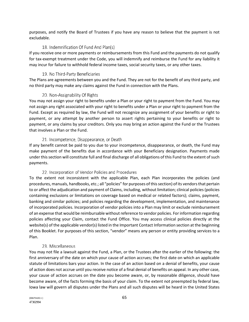purposes, and notify the Board of Trustees if you have any reason to believe that the payment is not excludable.

# 18. Indemnification Of Fund And Plan(s)

If you receive one or more payments or reimbursements from this Fund and the payments do not qualify for tax-exempt treatment under the Code, you will indemnify and reimburse the Fund for any liability it may incur for failure to withhold federal income taxes, social security taxes, or any other taxes.

# 19. No Third-Party Beneficiaries

The Plans are agreements between you and the Fund. They are not for the benefit of any third party, and no third party may make any claims against the Fund in connection with the Plans.

# 20. Non-Assignability Of Rights

You may not assign your right to benefits under a Plan or your right to payment from the Fund. You may not assign any right associated with your right to benefits under a Plan or your right to payment from the Fund. Except as required by law, the Fund will not recognize any assignment of your benefits or right to payment, or any attempt by another person to assert rights pertaining to your benefits or right to payment, or any claims by your creditors. Only you may bring an action against the Fund or the Trustees that involves a Plan or the Fund.

# 21. Incompetence, Disappearance, or Death

If any benefit cannot be paid to you due to your incompetence, disappearance, or death, the Fund may make payment of the benefits due in accordance with your Beneficiary designation. Payments made under this section will constitute full and final discharge of all obligations of this Fund to the extent of such payments.

## 22. Incorporation of Vendor Policies and Procedures

To the extent not inconsistent with the applicable Plan, each Plan incorporates the policies (and procedures, manuals, handbooks, etc.; all "policies" for purposes of this section) of its vendors that pertain to or affect the adjudication and payment of Claims, including, without limitation; clinical policies (policies containing exclusions or limitations on coverage based on medical or related factors); claims, payment, banking and similar policies; and policies regarding the development, implementation, and maintenance of incorporated policies. Incorporation of vendor policies into a Plan may limit or exclude reimbursement of an expense that would be reimbursable without reference to vendor policies. For information regarding policies affecting your Claim, contact the Fund Office. You may access clinical policies directly at the website(s) of the applicable vendor(s) listed in the Important Contact Information section at the beginning of this Booklet. For purposes of this section, "vendor" means any person or entity providing services to a Plan.

# 23. Miscellaneous

You may not file a lawsuit against the Fund, a Plan, or the Trustees after the earlier of the following: the first anniversary of the date on which your cause of action accrues; the first date on which an applicable statute of limitations bars your action. In the case of an action based on a denial of benefits, your cause of action does not accrue until you receive notice of a final denial of benefits on appeal. In any other case, your cause of action accrues on the date you become aware, or, by reasonable diligence, should have become aware, of the facts forming the basis of your claim. To the extent not preempted by federal law, Iowa law will govern all disputes under the Plans and all such disputes will be heard in the United States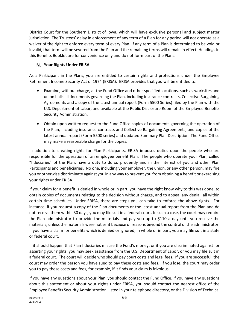District Court for the Southern District of Iowa, which will have exclusive personal and subject matter jurisdiction. The Trustees' delay in enforcement of any term of a Plan for any period will not operate as a waiver of the right to enforce every term of every Plan. If any term of a Plan is determined to be void or invalid, that term will be severed from the Plan and the remaining terms will remain in effect. Headings in this Benefits Booklet are for convenience only and do not form part of the Plans.

# **Your Rights Under ERISA**

As a Participant in the Plans, you are entitled to certain rights and protections under the Employee Retirement Income Security Act of 1974 (ERISA). ERISA provides that you will be entitled to:

- Examine, without charge, at the Fund Office and other specified locations, such as worksites and union halls all documents governing the Plan, including insurance contracts, Collective Bargaining Agreements and a copy of the latest annual report (Form 5500 Series) filed by the Plan with the U.S. Department of Labor, and available at the Public Disclosure Room of the Employee Benefits Security Administration.
- Obtain upon written request to the Fund Office copies of documents governing the operation of the Plan, including insurance contracts and Collective Bargaining Agreements, and copies of the latest annual report (Form 5500 series) and updated Summary Plan Description. The Fund Office may make a reasonable charge for the copies.

In addition to creating rights for Plan Participants, ERISA imposes duties upon the people who are responsible for the operation of an employee benefit Plan. The people who operate your Plan, called "fiduciaries" of the Plan, have a duty to do so prudently and in the interest of you and other Plan Participants and beneficiaries. No one, including your employer, the union, or any other person, may fire you or otherwise discriminate against you in any way to prevent you from obtaining a benefit or exercising your rights under ERISA.

If your claim for a benefit is denied in whole or in part, you have the right know why to this was done, to obtain copies of documents relating to the decision without charge, and to appeal any denial, all within certain time schedules. Under ERISA, there are steps you can take to enforce the above rights. For instance, if you request a copy of the Plan documents or the latest annual report from the Plan and do not receive them within 30 days, you may file suit in a federal court. In such a case, the court may require the Plan administrator to provide the materials and pay you up to \$110 a day until you receive the materials, unless the materials were not sent because of reasons beyond the control of the administrator. If you have a claim for benefits which is denied or ignored, in whole or in part, you may file suit in a state or federal court.

If it should happen that Plan fiduciaries misuse the Fund's money, or if you are discriminated against for asserting your rights, you may seek assistance from the U.S. Department of Labor, or you may file suit in a federal court. The court will decide who should pay court costs and legal fees. If you are successful, the court may order the person you have sued to pay these costs and fees. If you lose, the court may order you to pay these costs and fees, for example, if it finds your claim is frivolous.

If you have any questions about your Plan, you should contact the Fund Office. If you have any questions about this statement or about your rights under ERISA, you should contact the nearest office of the Employee Benefits Security Administration, listed in your telephone directory, or the Division of Technical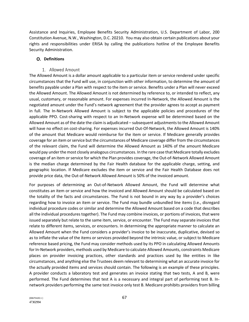Assistance and Inquiries, Employee Benefits Security Administration, U.S. Department of Labor, 200 Constitution Avenue, N.W., Washington, D.C. 20210. You may also obtain certain publications about your rights and responsibilities under ERISA by calling the publications hotline of the Employee Benefits Security Administration.

#### **Definitions**

#### 1. Allowed Amount

The Allowed Amount is a dollar amount applicable to a particular item or service rendered under specific circumstances that the Fund will use, in conjunction with other information, to determine the amount of benefits payable under a Plan with respect to the item or service. Benefits under a Plan will never exceed the Allowed Amount. The Allowed Amount is not determined by reference to, or intended to reflect, any usual, customary, or reasonable amount. For expenses incurred In-Network, the Allowed Amount is the negotiated amount under the Fund's network agreement that the provider agrees to accept as payment in full. The In-Network Allowed Amount is subject to the applicable policies and procedures of the applicable PPO. Cost-sharing with respect to an In-Network expense will be determined based on the Allowed Amount as of the date the claim is adjudicated – subsequent adjustments to the Allowed Amount will have no effect on cost-sharing. For expenses incurred Out-Of-Network, the Allowed Amount is 140% of the amount that Medicare would reimburse for the item or service. If Medicare generally provides coverage for an item or service but the circumstances of Medicare coverage differ from the circumstances of the relevant claim, the Fund will determine the Allowed Amount as 140% of the amount Medicare would pay under the most closely analogous circumstances. In the rare case that Medicare totally excludes coverage of an item or service for which the Plan provides coverage, the Out-of-Network Allowed Amount is the median charge determined by the Fair Health database for the applicable charge, setting, and geographic location. If Medicare excludes the item or service and the Fair Health Database does not provide price data, the Out-of-Network Allowed Amount is 50% of the invoiced amount.

For purposes of determining an Out-of-Network Allowed Amount, the Fund will determine what constitutes an item or service and how the invoiced and Allowed Amount should be calculated based on the totality of the facts and circumstances. The Fund is not bound in any way by a provider's choices regarding how to invoice an item or service. The Fund may bundle unbundled line items (i.e., disregard individual procedure codes or similar and determine the Allowed Amount based on a code that describes all the individual procedures together). The Fund may combine invoices, or portions of invoices, that were issued separately but relate to the same item, service, or encounter. The Fund may separate invoices that relate to different items, services, or encounters. In determining the appropriate manner to calculate an Allowed Amount when the Fund considers a provider's invoice to be inaccurate, duplicative, devised so as to inflate the value of the items or services provided beyond the intrinsic value, or subject to Medicare reference based pricing, the Fund may consider methods used by its PPO in calculating Allowed Amounts for In-Network providers, methods used by Medicare to calculate Allowed Amounts, constraints Medicare places on provider invoicing practices, other standards and practices used by like entities in like circumstances, and anything else the Trustees deem relevant to determining what an accurate invoice for the actually provided items and services should contain. The following is an example of these principles. A provider conducts a laboratory test and generates an invoice stating that two tests, A and B, were performed. The Fund determines that test A is a necessary and integral part of performing test B. Innetwork providers performing the same test invoice only test B. Medicare prohibits providers from billing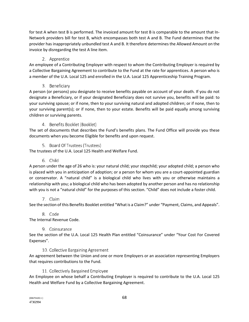for test A when test B is performed. The invoiced amount for test B is comparable to the amount that In-Network providers bill for test B, which encompasses both test A and B. The Fund determines that the provider has inappropriately unbundled test A and B. It therefore determines the Allowed Amount on the invoice by disregarding the test A line item.

# 2. Apprentice

An employee of a Contributing Employer with respect to whom the Contributing Employer is required by a Collective Bargaining Agreement to contribute to the Fund at the rate for apprentices. A person who is a member of the U.A. Local 125 and enrolled in the U.A. Local 125 Apprenticeship Training Program.

# 3. Beneficiary

A person (or persons) you designate to receive benefits payable on account of your death. If you do not designate a Beneficiary, or if your designated Beneficiary does not survive you, benefits will be paid: to your surviving spouse; or if none, then to your surviving natural and adopted children; or if none, then to your surviving parent(s); or if none, then to your estate. Benefits will be paid equally among surviving children or surviving parents.

# 4. Benefits Booklet (Booklet)

The set of documents that describes the Fund's benefits plans. The Fund Office will provide you these documents when you become Eligible for benefits and upon request.

# 5. Board Of Trustees (Trustees)

The trustees of the U.A. Local 125 Health and Welfare Fund.

# 6. Child

A person under the age of 26 who is: your natural child; your stepchild; your adopted child; a person who is placed with you in anticipation of adoption; or a person for whom you are a court-appointed guardian or conservator. A "natural child" is a biological child who lives with you or otherwise maintains a relationship with you; a biological child who has been adopted by another person and has no relationship with you is not a "natural child" for the purposes of this section. "Child" does not include a foster child.

# 7. Claim

See the section of this Benefits Booklet entitled "What is a Claim?" under "Payment, Claims, and Appeals".

# 8. Code

The Internal Revenue Code.

# 9. Coinsurance

See the section of the U.A. Local 125 Health Plan entitled "Coinsurance" under "Your Cost For Covered Expenses".

# 10. Collective Bargaining Agreement

An agreement between the Union and one or more Employers or an association representing Employers that requires contributions to the Fund.

# 11. Collectively Bargained Employee

An Employee on whose behalf a Contributing Employer is required to contribute to the U.A. Local 125 Health and Welfare Fund by a Collective Bargaining Agreement.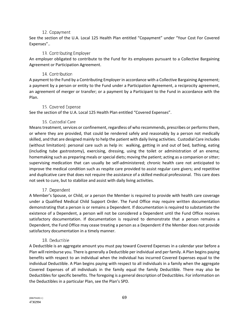#### 12. Copayment

See the section of the U.A. Local 125 Health Plan entitled "Copayment" under "Your Cost For Covered Expenses"..

#### 13. Contributing Employer

An employer obligated to contribute to the Fund for its employees pursuant to a Collective Bargaining Agreement or Participation Agreement.

#### 14. Contribution

A payment to the Fund by a Contributing Employer in accordance with a Collective Bargaining Agreement; a payment by a person or entity to the Fund under a Participation Agreement, a reciprocity agreement, an agreement of merger or transfer; or a payment by a Participant to the Fund in accordance with the Plan.

#### 15. Covered Expense

See the section of the U.A. Local 125 Health Plan entitled "Covered Expenses".

## 16. Custodial Care

Means treatment, services or confinement, regardless of who recommends, prescribes or performs them, or where they are provided, that could be rendered safely and reasonably by a person not medically skilled, and that are designed mainly to help the patient with daily living activities. Custodial Care includes (without limitation): personal care such as help in: walking, getting in and out of bed, bathing, eating (including tube gastrostomy), exercising, dressing, using the toilet or administration of an enema; homemaking such as preparing meals or special diets; moving the patient; acting as a companion or sitter; supervising medication that can usually be self-administered; chronic health care not anticipated to improve the medical condition such as respite care provided to assist regular care givers; and repetitive and duplicative care that does not require the assistance of a skilled medical professional. This care does not seek to cure, but to stabilize and assist with daily living activities.

#### 17. Dependent

A Member's Spouse, or Child, or a person the Member is required to provide with health care coverage under a Qualified Medical Child Support Order. The Fund Office may require written documentation demonstrating that a person is or remains a Dependent. If documentation is required to substantiate the existence of a Dependent, a person will not be considered a Dependent until the Fund Office receives satisfactory documentation. If documentation is required to demonstrate that a person remains a Dependent, the Fund Office may cease treating a person as a Dependent if the Member does not provide satisfactory documentation in a timely manner.

#### 18. Deductible

A Deductible is an aggregate amount you must pay toward Covered Expenses in a calendar year before a Plan will reimburse you. There is generally a Deductible per individual and per family. A Plan begins paying benefits with respect to an individual when the individual has incurred Covered Expenses equal to the individual Deductible. A Plan begins paying with respect to all individuals in a family when the aggregate Covered Expenses of all individuals in the family equal the family Deductible. There may also be Deductibles for specific benefits. The foregoing is a general description of Deductibles. For information on the Deductibles in a particular Plan, see the Plan's SPD.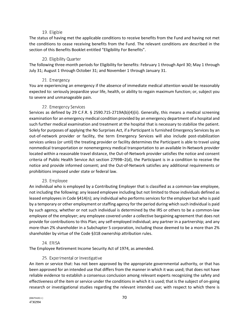#### 19. Eligible

The status of having met the applicable conditions to receive benefits from the Fund and having not met the conditions to cease receiving benefits from the Fund. The relevant conditions are described in the section of this Benefits Booklet entitled "Eligibility For Benefits".

## 20. Eligibility Quarter

The following three-month periods for Eligibility for benefits: February 1 through April 30; May 1 through July 31; August 1 through October 31; and November 1 through January 31.

#### 21. Emergency

You are experiencing an emergency if the absence of immediate medical attention would be reasonably expected to: seriously jeopardize your life, health, or ability to regain maximum function; or, subject you to severe and unmanageable pain.

#### 22. Emergency Services

Services as defined by 29 C.F.R. § 2590.715-2719A(b)(4)(ii). Generally, this means a medical screening examination for an emergency medical condition provided by an emergency department of a hospital and such further medical examination and treatment at the hospital that is necessary to stabilize the patient. Solely for purposes of applying the No Surprises Act, if a Participant is furnished Emergency Services by an out-of-network provider or facility, the term Emergency Services will also include post-stabilization services unless (or until) the treating provider or facility determines the Participant is able to travel using nonmedical transportation or nonemergency medical transportation to an available In-Network provider located within a reasonable travel distance, the Out-of-Network provider satisfies the notice and consent criteria of Public Health Service Act section 2799B–2(d), the Participant is in a condition to receive the notice and provide informed consent; and the Out-of-Network satisfies any additional requirements or prohibitions imposed under state or federal law.

## 23. Employee

An individual who is employed by a Contributing Employer that is classified as a common-law employee, not including the following: any leased employee including but not limited to those individuals defined as leased employees in Code §414(n); any individual who performs services for the employer but who is paid by a temporary or other employment or staffing agency for the period during which such individual is paid by such agency, whether or not such individual is determined by the IRS or others to be a common-law employee of the employer; any employee covered under a collective bargaining agreement that does not provide for contributions to this Plan; any self-employed individual; any partner in a partnership; and any more-than 2% shareholder in a Subchapter S corporation, including those deemed to be a more than 2% shareholder by virtue of the Code §318 ownership attribution rules.

## 24. ERISA

The Employee Retirement Income Security Act of 1974, as amended.

## 25. Experimental or Investigative

An item or service that: has not been approved by the appropriate governmental authority, or that has been approved for an intended use that differs from the manner in which it was used; that does not have reliable evidence to establish a consensus conclusion among relevant experts recognizing the safety and effectiveness of the item or service under the conditions in which it is used; that is the subject of on-going research or investigational studies regarding the relevant intended use; with respect to which there is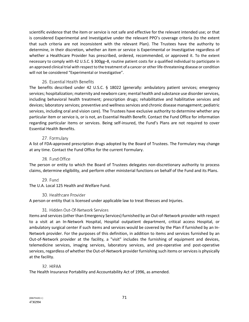scientific evidence that the item or service is not safe and effective for the relevant intended use; or that is considered Experimental and Investigative under the relevant PPO's coverage criteria (to the extent that such criteria are not inconsistent with the relevant Plan). The Trustees have the authority to determine, in their discretion, whether an item or service is Experimental or Investigative regardless of whether a Healthcare Provider has prescribed, ordered, recommended, or approved it. To the extent necessary to comply with 42 U.S.C. § 300gg–8, routine patient costs for a qualified individual to participate in an approved clinical trial with respect to the treatment of a cancer or other life-threatening disease or condition will not be considered "Experimental or Investigative".

## 26. Essential Health Benefits

The benefits described under 42 U.S.C. § 18022 (generally: ambulatory patient services; emergency services; hospitalization; maternity and newborn care; mental health and substance use disorder services, including behavioral health treatment; prescription drugs; rehabilitative and habilitative services and devices; laboratory services; preventive and wellness services and chronic disease management; pediatric services, including oral and vision care). The Trustees have exclusive authority to determine whether any particular item or service is, or is not, an Essential Health Benefit. Contact the Fund Office for information regarding particular items or services. Being self-insured, the Fund's Plans are not required to cover Essential Health Benefits.

## 27. Formulary

A list of FDA-approved prescription drugs adopted by the Board of Trustees. The Formulary may change at any time. Contact the Fund Office for the current Formulary.

#### 28. Fund Office

The person or entity to which the Board of Trustees delegates non-discretionary authority to process claims, determine eligibility, and perform other ministerial functions on behalf of the Fund and its Plans.

## 29. Fund

The U.A. Local 125 Health and Welfare Fund.

## 30. Healthcare Provider

A person or entity that is licensed under applicable law to treat Illnesses and Injuries.

## 31. Hidden Out-Of-Network Services

Items and services (other than Emergency Services) furnished by an Out-of-Network provider with respect to a visit at an In-Network Hospital, Hospital outpatient department, critical access Hospital, or ambulatory surgical center if such items and services would be covered by the Plan if furnished by an In-Network provider. For the purposes of this definition, in addition to items and services furnished by an Out-of-Network provider at the facility, a "visit" includes the furnishing of equipment and devices, telemedicine services, imaging services, laboratory services, and pre-operative and post-operative services, regardless of whether the Out-of-Network provider furnishing such items or services is physically at the facility.

## 32. HIPAA

The Health Insurance Portability and Accountability Act of 1996, as amended.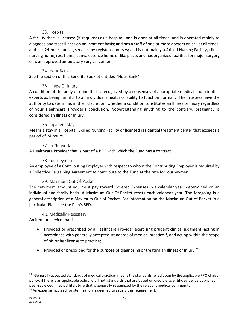## 33. Hospital

A facility that: is licensed (if required) as a hospital; and is open at all times; and is operated mainly to diagnose and treat illness on an inpatient basis; and has a staff of one or more doctors on call at all times; and has 24-hour nursing services by registered nurses; and is not mainly a Skilled Nursing Facility, clinic, nursing home, rest home, convalescence home or like place; and has organized facilities for major surgery or is an approved ambulatory surgical center.

## 34. Hour Bank

See the section of this Benefits Booklet entitled "Hour Bank".

# 35. Illness Or Injury

A condition of the body or mind that is recognized by a consensus of appropriate medical and scientific experts as being harmful to an individual's health or ability to function normally. The Trustees have the authority to determine, in their discretion, whether a condition constitutes an Illness or Injury regardless of your Healthcare Provider's conclusion. Notwithstanding anything to the contrary, pregnancy is considered an Illness or Injury.

# 36. Inpatient Stay

Means a stay in a Hospital, Skilled Nursing Facility or licensed residential treatment center that exceeds a period of 24 hours.

# 37. In-Network

A Healthcare Provider that is part of a PPO with which the Fund has a contract.

## 38. Journeymen

An employee of a Contributing Employer with respect to whom the Contributing Employer is required by a Collective Bargaining Agreement to contribute to the Fund at the rate for journeymen.

## 39. Maximum Out-Of-Pocket

The maximum amount you must pay toward Covered Expenses in a calendar year, determined on an individual and family basis. A Maximum Out-Of-Pocket resets each calendar year. The foregoing is a general description of a Maximum Out-of-Pocket. For information on the Maximum Out-of-Pocket in a particular Plan, see the Plan's SPD.

## 40. Medically Necessary

An item or service that is:

- Provided or prescribed by a Healthcare Provider exercising prudent clinical judgment, acting in accordance with generally accepted standards of medical practice<sup>34</sup>, and acting within the scope of his or her license to practice;
- Provided or prescribed for the purpose of diagnosing or treating an Illness or Injury;<sup>35</sup>

<sup>&</sup>lt;sup>34</sup> "Generally accepted standards of medical practice" means the standards relied upon by the applicable PPO clinical policy, if there is an applicable policy, or, if not, standards that are based on credible scientific evidence published in peer-reviewed, medical literature that is generally recognized by the relevant medical community.<br><sup>35</sup> An expense incurred for sterilization is deemed to satisfy this requirement.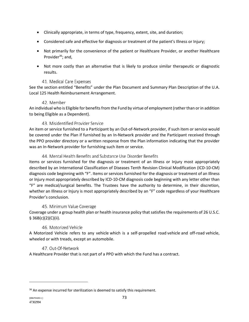- Clinically appropriate, in terms of type, frequency, extent, site, and duration;
- Considered safe and effective for diagnosis or treatment of the patient's Illness or Injury;
- Not primarily for the convenience of the patient or Healthcare Provider, or another Healthcare Provider<sup>36</sup>; and,
- Not more costly than an alternative that is likely to produce similar therapeutic or diagnostic results.

## 41. Medical Care Expenses

See the section entitled "Benefits" under the Plan Document and Summary Plan Description of the U.A. Local 125 Health Reimbursement Arrangement.

## 42. Member

An individual who is Eligible for benefits from the Fund by virtue of employment (rather than or in addition to being Eligible as a Dependent).

## 43. Misidentified Provider Service

An item or service furnished to a Participant by an Out-of-Network provider, if such item or service would be covered under the Plan if furnished by an In-Network provider and the Participant received through the PPO provider directory or a written response from the Plan information indicating that the provider was an In-Network provider for furnishing such item or service.

## 44. Mental Health Benefits and Substance Use Disorder Benefits

Items or services furnished for the diagnosis or treatment of an Illness or Injury most appropriately described by an International Classification of Diseases Tenth Revision Clinical Modification (ICD-10-CM) diagnosis code beginning with "F". Items or services furnished for the diagnosis or treatment of an Illness or Injury most appropriately described by ICD-10-CM diagnosis code beginning with any letter other than "F" are medical/surgical benefits. The Trustees have the authority to determine, in their discretion, whether an Illness or Injury is most appropriately described by an "F" code regardless of your Healthcare Provider's conclusion.

## 45. Minimum Value Coverage

Coverage under a group health plan or health insurance policy that satisfies the requirements of 26 U.S.C.  $§ 36B(c)(2)(C)(ii).$ 

## 46. Motorized Vehicle

A Motorized Vehicle refers to any vehicle which is a self-propelled road vehicle and off-road vehicle, wheeled or with treads, except an automobile.

## 47. Out-Of-Network

A Healthcare Provider that is not part of a PPO with which the Fund has a contract.

<sup>&</sup>lt;sup>36</sup> An expense incurred for sterilization is deemed to satisfy this requirement.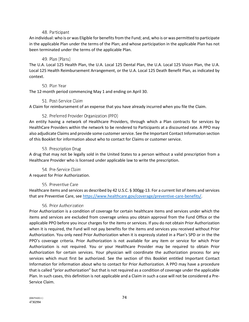#### 48. Participant

An individual: who is or was Eligible for benefits from the Fund; and, who is or was permitted to participate in the applicable Plan under the terms of the Plan; and whose participation in the applicable Plan has not been terminated under the terms of the applicable Plan.

#### 49. Plan (Plans)

The U.A. Local 125 Health Plan, the U.A. Local 125 Dental Plan, the U.A. Local 125 Vision Plan, the U.A. Local 125 Health Reimbursement Arrangement, or the U.A. Local 125 Death Benefit Plan, as indicated by context.

#### 50. Plan Year

The 12-month period commencing May 1 and ending on April 30.

#### 51. Post-Service Claim

A Claim for reimbursement of an expense that you have already incurred when you file the Claim.

## 52. Preferred Provider Organization (PPO)

An entity having a network of Healthcare Providers, through which a Plan contracts for services by HealthCare Providers within the network to be rendered to Participants at a discounted rate. A PPO may also adjudicate Claims and provide some customer service. See the Important Contact Information section of this Booklet for information about who to contact for Claims or customer service.

## 53. Prescription Drug

A drug that may not be legally sold in the United States to a person without a valid prescription from a Healthcare Provider who is licensed under applicable law to write the prescription.

54. Pre-Service Claim

A request for Prior Authorization.

## 55. Preventive Care

Healthcare items and services as described by 42 U.S.C. § 300gg-13. For a current list of items and services that are Preventive Care, see https://www.healthcare.gov/coverage/preventive-care-benefits/.

## 56. Prior Authorization

Prior Authorization is a condition of coverage for certain healthcare items and services under which the items and services are excluded from coverage unless you obtain approval from the Fund Office or the applicable PPO before you incur charges for the items or services. If you do not obtain Prior Authorization when it is required, the Fund will not pay benefits for the items and services you received without Prior Authorization. You only need Prior Authorization when it is expressly stated in a Plan's SPD or in the the PPO's coverage criteria. Prior Authorization is not available for any item or service for which Prior Authorization is not required. You or your Healthcare Provider may be required to obtain Prior Authorization for certain services. Your physician will coordinate the authorization process for any services which must first be authorized. See the section of this Booklet entitled Important Contact Information for information about who to contact for Prior Authorization. A PPO may have a procedure that is called "prior authorization" but that is not required as a condition of coverage under the applicable Plan. In such cases, this definition is not applicable and a Claim in such a case will not be considered a Pre-Service Claim.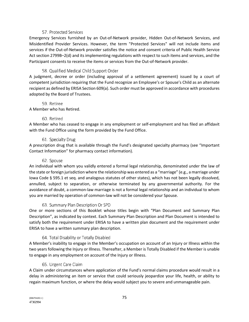#### 57. Protected Services

Emergency Services furnished by an Out-of-Network provider, Hidden Out-of-Network Services, and Misidentified Provider Services. However, the term "Protected Services" will not include items and services if the Out-of-Network provider satisfies the notice and consent criteria of Public Health Service Act section 2799B–2(d) and its implementing regulations with respect to such items and services, and the Participant consents to receive the items or services from the Out-of-Network provider.

## 58. Qualified Medical Child Support Order

A judgment, decree or order (including approval of a settlement agreement) issued by a court of competent jurisdiction requiring that the Fund recognize an Employee's or Spouse's Child as an alternate recipient as defined by ERISA Section 609(a). Such order must be approved in accordance with procedures adopted by the Board of Trustees.

#### 59. Retiree

A Member who has Retired.

#### 60. Retired

A Member who has ceased to engage in any employment or self-employment and has filed an affidavit with the Fund Office using the form provided by the Fund Office.

## 61. Specialty Drug

A prescription drug that is available through the Fund's designated specialty pharmacy (see "Important Contact Information" for pharmacy contact information).

#### 62. Spouse

An individual with whom you validly entered a formal legal relationship, denominated under the law of the state or foreign jurisdiction where the relationship was entered as a "marriage" (e.g., a marriage under Iowa Code § 595.1 et seq. and analogous statutes of other states), which has not been legally dissolved, annulled, subject to separation, or otherwise terminated by any governmental authority. For the avoidance of doubt, a common-law marriage is not a formal legal relationship and an individual to whom you are married by operation of common-law will not be considered your Spouse.

## 63. Summary Plan Description Or SPD

One or more sections of this Booklet whose titles begin with "Plan Document and Summary Plan Description", as indicated by context. Each Summary Plan Description and Plan Document is intended to satisfy both the requirement under ERISA to have a written plan document and the requirement under ERISA to have a written summary plan description.

## 64. Total Disability or Totally Disabled

A Member's inability to engage in the Member's occupation on account of an Injury or Illness within the two years following the Injury or Illness. Thereafter, a Member is Totally Disabled if the Member is unable to engage in any employment on account of the Injury or Illness.

## 65. Urgent Care Claim

A Claim under circumstances where application of the Fund's normal claims procedure would result in a delay in administering an item or service that could seriously jeopardize your life, health, or ability to regain maximum function, or where the delay would subject you to severe and unmanageable pain.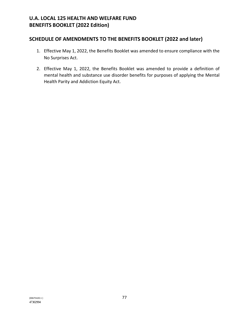# **SCHEDULE OF AMENDMENTS TO THE BENEFITS BOOKLET (2022 and later)**

- 1. Effective May 1, 2022, the Benefits Booklet was amended to ensure compliance with the No Surprises Act.
- 2. Effective May 1, 2022, the Benefits Booklet was amended to provide a definition of mental health and substance use disorder benefits for purposes of applying the Mental Health Parity and Addiction Equity Act.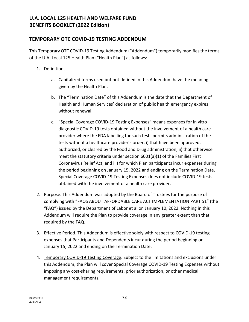# **U.A. LOCAL 125 HEALTH AND WELFARE FUND BENEFITS BOOKLET (2022 Edition)**

# **TEMPORARY OTC COVID-19 TESTING ADDENDUM**

This Temporary OTC COVID-19 Testing Addendum ("Addendum") temporarily modifies the terms of the U.A. Local 125 Health Plan ("Health Plan") as follows:

- 1. Definitions.
	- a. Capitalized terms used but not defined in this Addendum have the meaning given by the Health Plan.
	- b. The "Termination Date" of this Addendum is the date that the Department of Health and Human Services' declaration of public health emergency expires without renewal.
	- c. "Special Coverage COVID-19 Testing Expenses" means expenses for in vitro diagnostic COVID-19 tests obtained without the involvement of a health care provider where the FDA labelling for such tests permits administration of the tests without a healthcare provider's order, i) that have been approved, authorized, or cleared by the Food and Drug administration, ii) that otherwise meet the statutory criteria under section 6001(a)(1) of the Families First Coronavirus Relief Act, and iii) for which Plan participants incur expenses during the period beginning on January 15, 2022 and ending on the Termination Date. Special Coverage COVID-19 Testing Expenses does not include COVID-19 tests obtained with the involvement of a health care provider.
- 2. Purpose. This Addendum was adopted by the Board of Trustees for the purpose of complying with "FAQS ABOUT AFFORDABLE CARE ACT IMPLEMENTATION PART 51" (the "FAQ") issued by the Department of Labor et al on January 10, 2022. Nothing in this Addendum will require the Plan to provide coverage in any greater extent than that required by the FAQ.
- 3. Effective Period. This Addendum is effective solely with respect to COVID-19 testing expenses that Participants and Dependents incur during the period beginning on January 15, 2022 and ending on the Termination Date.
- 4. Temporary COVID-19 Testing Coverage. Subject to the limitations and exclusions under this Addendum, the Plan will cover Special Coverage COVID-19 Testing Expenses without imposing any cost-sharing requirements, prior authorization, or other medical management requirements.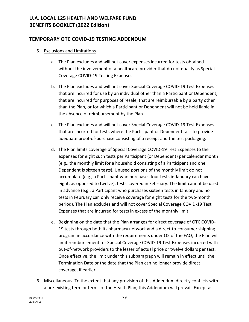# **U.A. LOCAL 125 HEALTH AND WELFARE FUND BENEFITS BOOKLET (2022 Edition)**

# **TEMPORARY OTC COVID-19 TESTING ADDENDUM**

- 5. Exclusions and Limitations.
	- a. The Plan excludes and will not cover expenses incurred for tests obtained without the involvement of a healthcare provider that do not qualify as Special Coverage COVID-19 Testing Expenses.
	- b. The Plan excludes and will not cover Special Coverage COVID-19 Test Expenses that are incurred for use by an individual other than a Participant or Dependent, that are incurred for purposes of resale, that are reimbursable by a party other than the Plan, or for which a Participant or Dependent will not be held liable in the absence of reimbursement by the Plan.
	- c. The Plan excludes and will not cover Special Coverage COVID-19 Test Expenses that are incurred for tests where the Participant or Dependent fails to provide adequate proof-of-purchase consisting of a receipt and the test packaging.
	- d. The Plan limits coverage of Special Coverage COVID-19 Test Expenses to the expenses for eight such tests per Participant (or Dependent) per calendar month (e.g., the monthly limit for a household consisting of a Participant and one Dependent is sixteen tests). Unused portions of the monthly limit do not accumulate (e.g., a Participant who purchases four tests in January can have eight, as opposed to twelve), tests covered in February. The limit cannot be used in advance (e.g., a Participant who purchases sixteen tests in January and no tests in February can only receive coverage for eight tests for the two-month period). The Plan excludes and will not cover Special Coverage COVID-19 Test Expenses that are incurred for tests in excess of the monthly limit.
	- e. Beginning on the date that the Plan arranges for direct coverage of OTC COVID-19 tests through both its pharmacy network and a direct-to-consumer shipping program in accordance with the requirements under Q2 of the FAQ, the Plan will limit reimbursement for Special Coverage COVID-19 Test Expenses incurred with out-of-network providers to the lesser of actual price or twelve dollars per test. Once effective, the limit under this subparagraph will remain in effect until the Termination Date or the date that the Plan can no longer provide direct coverage, if earlier.
- 6. Miscellaneous. To the extent that any provision of this Addendum directly conflicts with a pre-existing term or terms of the Health Plan, this Addendum will prevail. Except as